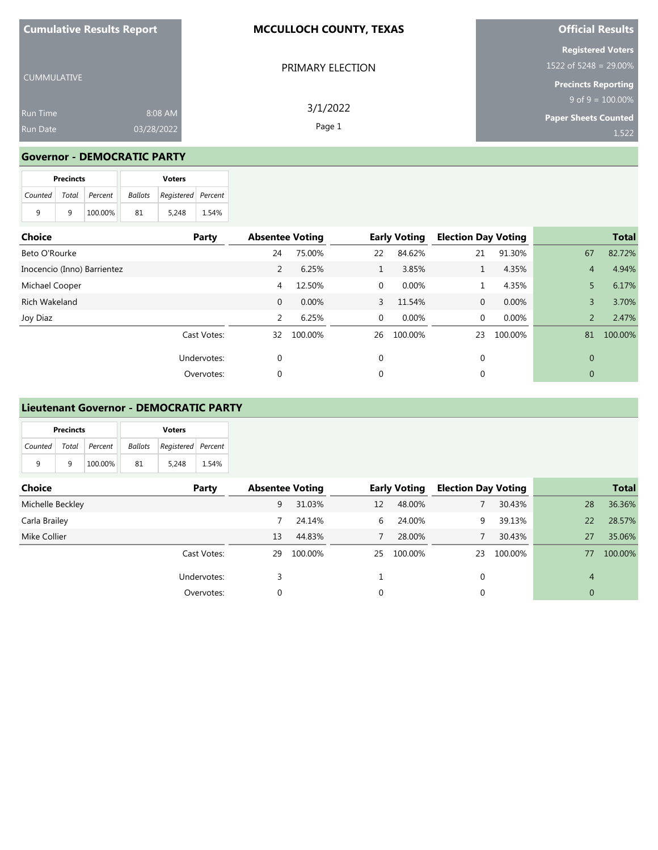| <b>Cumulative Results Report</b> |            | <b>MCCULLOCH COUNTY, TEXAS</b> | <b>Official Results</b>                              |  |  |
|----------------------------------|------------|--------------------------------|------------------------------------------------------|--|--|
|                                  |            | PRIMARY ELECTION               | <b>Registered Voters</b><br>1522 of 5248 = $29.00\%$ |  |  |
| <b>CUMMULATIVE</b>               |            |                                | <b>Precincts Reporting</b>                           |  |  |
|                                  |            | 3/1/2022                       | $9$ of $9 = 100.00\%$                                |  |  |
| <b>Run Time</b>                  | 8:08 AM    |                                | <b>Paper Sheets Counted</b>                          |  |  |
| <b>Run Date</b>                  | 03/28/2022 | Page 1                         | 1,522                                                |  |  |

### **Governor - DEMOCRATIC PARTY**

|   | <b>Precincts</b> |                       |    | <b>Voters</b>                     |       |
|---|------------------|-----------------------|----|-----------------------------------|-------|
|   |                  | Counted Total Percent |    | <b>Ballots</b> Registered Percent |       |
| 9 | q                | 100.00%               | 81 | 5.248                             | 1.54% |

| Choice                      | Party       | <b>Absentee Voting</b> |         |                | <b>Early Voting</b> | <b>Election Day Voting</b> |         |                | <b>Total</b> |
|-----------------------------|-------------|------------------------|---------|----------------|---------------------|----------------------------|---------|----------------|--------------|
| Beto O'Rourke               |             | 24                     | 75.00%  | 22             | 84.62%              | 21                         | 91.30%  | 67             | 82.72%       |
| Inocencio (Inno) Barrientez |             | 2                      | 6.25%   |                | 3.85%               |                            | 4.35%   | $\overline{4}$ | 4.94%        |
| Michael Cooper              |             | 4                      | 12.50%  | 0              | 0.00%               |                            | 4.35%   | 5              | 6.17%        |
| <b>Rich Wakeland</b>        |             | $\mathbf{0}$           | 0.00%   | $\overline{3}$ | 11.54%              | $\mathbf{0}$               | 0.00%   | 3              | 3.70%        |
| Joy Diaz                    |             | 2                      | 6.25%   | 0              | 0.00%               | $\mathbf 0$                | 0.00%   | $\overline{2}$ | 2.47%        |
|                             | Cast Votes: | 32                     | 100.00% | 26             | 100.00%             | 23                         | 100.00% | 81             | 100.00%      |
|                             | Undervotes: | 0                      |         | 0              |                     | 0                          |         | 0              |              |
|                             | Overvotes:  | 0                      |         | $\mathbf{0}$   |                     |                            |         | 0              |              |

#### **Lieutenant Governor - DEMOCRATIC PARTY**

|                       | <b>Precincts</b> |         |                                   | <b>Voters</b> |       |  |
|-----------------------|------------------|---------|-----------------------------------|---------------|-------|--|
| Counted Total Percent |                  |         | <b>Ballots</b> Registered Percent |               |       |  |
| q                     | q                | 100.00% | 81                                | 5.248         | 1.54% |  |

| Choice           | Party       | <b>Absentee Voting</b> |         |          | <b>Early Voting</b> | <b>Election Day Voting</b> |         |                | <b>Total</b> |
|------------------|-------------|------------------------|---------|----------|---------------------|----------------------------|---------|----------------|--------------|
| Michelle Beckley |             | 9                      | 31.03%  | 12       | 48.00%              |                            | 30.43%  | 28             | 36.36%       |
| Carla Brailey    |             |                        | 24.14%  | 6        | 24.00%              | 9                          | 39.13%  | 22             | 28.57%       |
| Mike Collier     |             | 13                     | 44.83%  |          | 28.00%              |                            | 30.43%  | 27             | 35.06%       |
|                  | Cast Votes: | 29                     | 100.00% | 25       | 100.00%             | 23                         | 100.00% | 77             | 100.00%      |
|                  | Undervotes: |                        |         |          |                     | 0                          |         | $\overline{4}$ |              |
|                  | Overvotes:  |                        |         | $\Omega$ |                     | 0                          |         | $\overline{0}$ |              |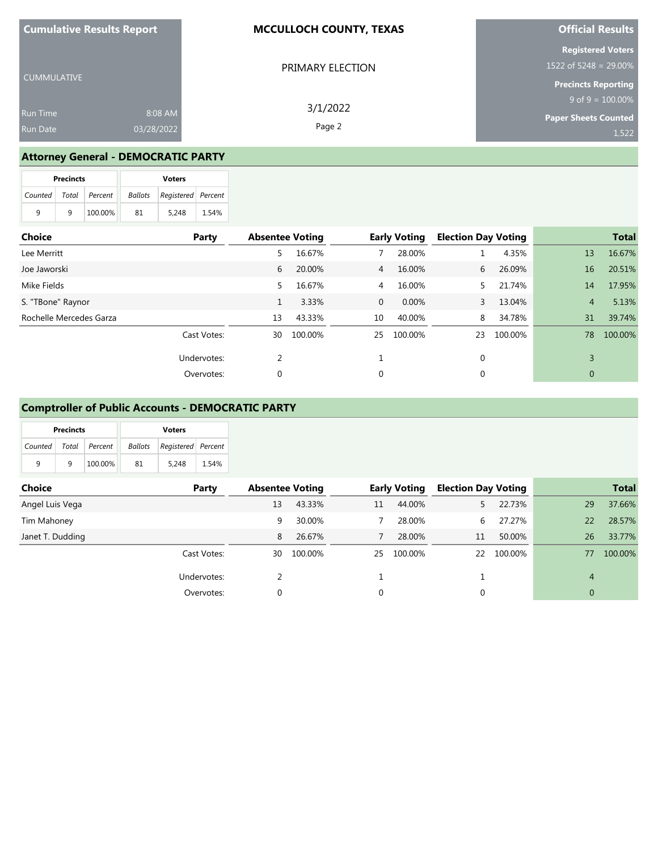| <b>Cumulative Results Report</b> |            | <b>MCCULLOCH COUNTY, TEXAS</b> | <b>Official Results</b>                             |  |  |
|----------------------------------|------------|--------------------------------|-----------------------------------------------------|--|--|
|                                  |            | PRIMARY ELECTION               | <b>Registered Voters</b><br>$1522$ of 5248 = 29.00% |  |  |
| <b>CUMMULATIVE</b>               |            |                                | <b>Precincts Reporting</b>                          |  |  |
|                                  |            | 3/1/2022                       | $9$ of $9 = 100.00\%$                               |  |  |
| <b>Run Time</b>                  | 8:08 AM    |                                | <b>Paper Sheets Counted</b>                         |  |  |
| <b>Run Date</b>                  | 03/28/2022 | Page 2                         | 1,522                                               |  |  |

# **Attorney General - DEMOCRATIC PARTY**

|   | <b>Precincts</b> |                       |         | <b>Voters</b>      |       |
|---|------------------|-----------------------|---------|--------------------|-------|
|   |                  | Counted Total Percent | Ballots | Registered Percent |       |
| 9 | q                | 100.00%               | -81     | 5.248              | 1.54% |

| Choice                  | Party       | <b>Absentee Voting</b> |         |                | <b>Early Voting</b> | <b>Election Day Voting</b> |         |              | <b>Total</b> |
|-------------------------|-------------|------------------------|---------|----------------|---------------------|----------------------------|---------|--------------|--------------|
| Lee Merritt             |             | 5                      | 16.67%  |                | 28.00%              |                            | 4.35%   | 13           | 16.67%       |
| Joe Jaworski            |             | 6                      | 20.00%  | $\overline{4}$ | 16.00%              | 6                          | 26.09%  | 16           | 20.51%       |
| Mike Fields             |             | 5.                     | 16.67%  | 4              | 16.00%              | 5.                         | 21.74%  | 14           | 17.95%       |
| S. "TBone" Raynor       |             |                        | 3.33%   | $\mathbf{0}$   | $0.00\%$            | 3                          | 13.04%  | 4            | 5.13%        |
| Rochelle Mercedes Garza |             | 13                     | 43.33%  | 10             | 40.00%              | 8                          | 34.78%  | 31           | 39.74%       |
|                         | Cast Votes: | 30                     | 100.00% | 25             | 100.00%             | 23                         | 100.00% | 78           | 100.00%      |
|                         | Undervotes: | ำ                      |         |                |                     | 0                          |         | 3            |              |
|                         | Overvotes:  | $\mathbf 0$            |         | 0              |                     | 0                          |         | $\mathbf{0}$ |              |

## **Comptroller of Public Accounts - DEMOCRATIC PARTY**

|                       | <b>Precincts</b> |         | <b>Voters</b>                 |       |       |  |
|-----------------------|------------------|---------|-------------------------------|-------|-------|--|
| Counted Total Percent |                  |         | Registered Percent<br>Ballots |       |       |  |
| 9                     | q                | 100.00% | 81                            | 5.248 | 1.54% |  |

| Choice           | Party       | <b>Absentee Voting</b> |         |    | <b>Early Voting</b> | <b>Election Day Voting</b> |         |                | <b>Total</b> |
|------------------|-------------|------------------------|---------|----|---------------------|----------------------------|---------|----------------|--------------|
| Angel Luis Vega  |             | 13                     | 43.33%  | 11 | 44.00%              |                            | 22.73%  | 29             | 37.66%       |
| Tim Mahoney      |             | 9                      | 30.00%  |    | 28.00%              | 6.                         | 27.27%  | 22             | 28.57%       |
| Janet T. Dudding |             | 8                      | 26.67%  |    | 28.00%              | 11                         | 50.00%  | 26             | 33.77%       |
|                  | Cast Votes: | 30                     | 100.00% | 25 | 100.00%             | 22                         | 100.00% | 77             | 100.00%      |
|                  | Undervotes: |                        |         |    |                     |                            |         | $\overline{4}$ |              |
|                  | Overvotes:  | 0                      |         |    |                     | 0                          |         | 0              |              |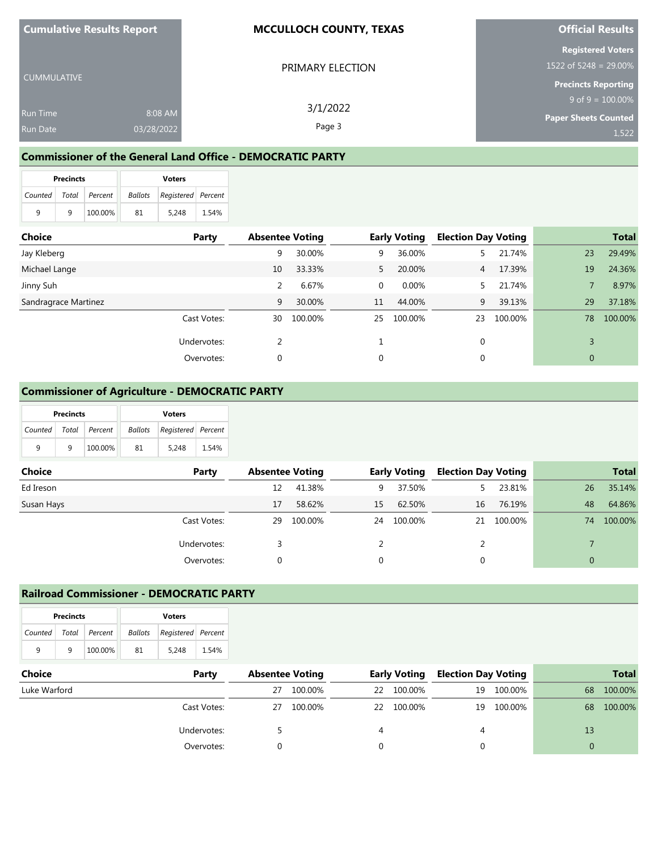| <b>Cumulative Results Report</b> |            | <b>MCCULLOCH COUNTY, TEXAS</b> | <b>Official Results</b>                           |  |  |
|----------------------------------|------------|--------------------------------|---------------------------------------------------|--|--|
|                                  |            | PRIMARY ELECTION               | <b>Registered Voters</b><br>1522 of 5248 = 29.00% |  |  |
| <b>CUMMULATIVE</b>               |            |                                | <b>Precincts Reporting</b>                        |  |  |
|                                  |            | 3/1/2022                       | $9$ of $9 = 100.00\%$                             |  |  |
| Run Time                         | 8:08 AM    |                                | Paper Sheets Counted                              |  |  |
| <b>Run Date</b>                  | 03/28/2022 | Page 3                         | 1.522                                             |  |  |

### **Commissioner of the General Land Office - DEMOCRATIC PARTY**

|                       | <b>Precincts</b> |         |    | <b>Voters</b>                     |       |
|-----------------------|------------------|---------|----|-----------------------------------|-------|
| Counted Total Percent |                  |         |    | <b>Ballots</b> Registered Percent |       |
| 9                     | q                | 100.00% | 81 | 5.248                             | 1.54% |

| <b>Choice</b>        | Party       | <b>Absentee Voting</b> |         |    | <b>Early Voting</b> | <b>Election Day Voting</b> |         |                | <b>Total</b> |
|----------------------|-------------|------------------------|---------|----|---------------------|----------------------------|---------|----------------|--------------|
| Jay Kleberg          |             | 9                      | 30.00%  | 9  | 36.00%              |                            | 21.74%  | 23             | 29.49%       |
| Michael Lange        |             | 10                     | 33.33%  | 5  | 20.00%              | 4                          | 17.39%  | 19             | 24.36%       |
| Jinny Suh            |             | 2                      | 6.67%   | 0  | $0.00\%$            |                            | 21.74%  |                | 8.97%        |
| Sandragrace Martinez |             | 9                      | 30.00%  | 11 | 44.00%              | 9                          | 39.13%  | 29             | 37.18%       |
|                      | Cast Votes: | 30                     | 100.00% | 25 | 100.00%             | 23                         | 100.00% | 78             | 100.00%      |
|                      | Undervotes: |                        |         |    |                     | $\mathbf{0}$               |         | 3              |              |
|                      | Overvotes:  | 0                      |         | 0  |                     | 0                          |         | $\overline{0}$ |              |

## **Commissioner of Agriculture - DEMOCRATIC PARTY**

|                       | <b>Precincts</b> |         | <b>Voters</b> |                    |       |  |  |  |
|-----------------------|------------------|---------|---------------|--------------------|-------|--|--|--|
| Counted Total Percent |                  |         | Ballots       | Registered Percent |       |  |  |  |
| q                     | q                | 100.00% | 81            | 5.248              | 1.54% |  |  |  |

| Choice     | Party       | <b>Absentee Voting</b> |         |    | <b>Early Voting</b> | <b>Election Day Voting</b> |            |                | <b>Total</b> |
|------------|-------------|------------------------|---------|----|---------------------|----------------------------|------------|----------------|--------------|
| Ed Ireson  |             | 12                     | 41.38%  | 9  | 37.50%              | 5.                         | 23.81%     | 26             | 35.14%       |
| Susan Hays |             | 17                     | 58.62%  | 15 | 62.50%              | 16                         | 76.19%     | 48             | 64.86%       |
|            | Cast Votes: | 29                     | 100.00% | 24 | 100.00%             |                            | 21 100.00% | 74             | 100.00%      |
|            | Undervotes: |                        |         |    |                     |                            |            |                |              |
|            | Overvotes:  | 0                      |         |    |                     |                            |            | $\overline{0}$ |              |

### **Railroad Commissioner - DEMOCRATIC PARTY**

|   | <b>Precincts</b> |                       | <b>Voters</b> |                    |       |  |  |  |
|---|------------------|-----------------------|---------------|--------------------|-------|--|--|--|
|   |                  | Counted Total Percent | Ballots       | Registered Percent |       |  |  |  |
| q | q                | 100.00%               | 81            | 5.248              | 1.54% |  |  |  |

| <b>Choice</b> | Party       | <b>Absentee Voting</b> |         |    | <b>Early Voting</b> | <b>Election Day Voting</b> |            |    | <b>Total</b> |
|---------------|-------------|------------------------|---------|----|---------------------|----------------------------|------------|----|--------------|
| Luke Warford  |             | 27                     | 100.00% | 22 | 100.00%             |                            | 19 100.00% | 68 | 100.00%      |
|               | Cast Votes: | 27                     | 100.00% |    | 22 100.00%          |                            | 19 100.00% | 68 | 100.00%      |
|               | Undervotes: |                        |         |    |                     | 4                          |            | 13 |              |
|               | Overvotes:  |                        |         |    |                     |                            |            |    |              |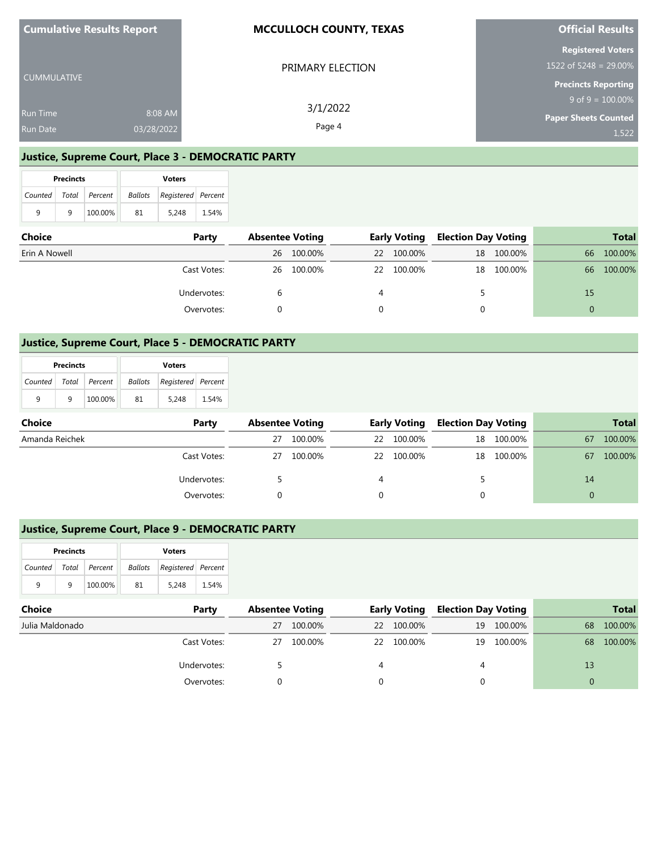| Cumulative Results Report |            | <b>MCCULLOCH COUNTY, TEXAS</b> | <b>Official Results</b>                                     |
|---------------------------|------------|--------------------------------|-------------------------------------------------------------|
|                           |            | PRIMARY ELECTION               | <b>Registered Voters</b><br>1522 of 5248 = $29.00\%$        |
| <b>CUMMULATIVE</b>        |            |                                | <b>Precincts Reporting</b>                                  |
| <b>Run Time</b>           | 8:08 AM    | 3/1/2022                       | $9 \text{ of } 9 = 100.00\%$<br><b>Paper Sheets Counted</b> |
| <b>Run Date</b>           | 03/28/2022 | Page 4                         | 1,522                                                       |

### **Justice, Supreme Court, Place 3 - DEMOCRATIC PARTY**

|                       | <b>Precincts</b> |         | <b>Voters</b>  |                    |       |  |  |
|-----------------------|------------------|---------|----------------|--------------------|-------|--|--|
| Counted Total Percent |                  |         | <b>Ballots</b> | Registered Percent |       |  |  |
| 9                     | q                | 100.00% | 81             | 5.248              | 1.54% |  |  |

| <b>Choice</b> | Party       | <b>Absentee Voting</b> |            | <b>Early Voting</b> |         | <b>Election Day Voting</b> |            |    | <b>Total</b> |
|---------------|-------------|------------------------|------------|---------------------|---------|----------------------------|------------|----|--------------|
| Erin A Nowell |             | 26                     | 100.00%    | 22                  | 100.00% |                            | 18 100.00% | 66 | 100.00%      |
|               | Cast Votes: |                        | 26 100.00% | <b>22</b>           | 100.00% |                            | 18 100.00% | 66 | 100.00%      |
|               | Undervotes: |                        |            |                     |         |                            |            | 15 |              |
|               | Overvotes:  |                        |            |                     |         |                            |            | 0  |              |

### **Justice, Supreme Court, Place 5 - DEMOCRATIC PARTY**

|                           | <b>Precincts</b> |         | <b>Voters</b> |                    |       |  |  |
|---------------------------|------------------|---------|---------------|--------------------|-------|--|--|
| Counted   Total   Percent |                  |         | Ballots       | Registered Percent |       |  |  |
| 9                         | q                | 100.00% | 81            | 5.248              | 1.54% |  |  |

| Choice         | Party       | <b>Absentee Voting</b> |         | <b>Early Voting</b> |            | <b>Election Day Voting</b> |            |    | <b>Total</b> |
|----------------|-------------|------------------------|---------|---------------------|------------|----------------------------|------------|----|--------------|
| Amanda Reichek |             | 27                     | 100.00% | 22                  | 100.00%    |                            | 18 100.00% | 67 | 100.00%      |
|                | Cast Votes: | 27                     | 100.00% |                     | 22 100.00% |                            | 18 100.00% | 67 | 100.00%      |
|                | Undervotes: |                        |         |                     |            |                            |            | 14 |              |
|                | Overvotes:  |                        |         |                     |            |                            |            |    |              |

## **Justice, Supreme Court, Place 9 - DEMOCRATIC PARTY**

|                       | <b>Precincts</b> |         |         | <b>Voters</b>      |       |
|-----------------------|------------------|---------|---------|--------------------|-------|
| Counted Total Percent |                  |         | Ballots | Registered Percent |       |
| q                     | a                | 100.00% | 81      | 5.248              | 1.54% |

| <b>Choice</b>   | Party       | <b>Absentee Voting</b> |         | <b>Early Voting</b> |         | <b>Election Day Voting</b> |            | <b>Total</b> |         |
|-----------------|-------------|------------------------|---------|---------------------|---------|----------------------------|------------|--------------|---------|
| Julia Maldonado |             | 27                     | 100.00% | 22                  | 100.00% |                            | 19 100.00% | 68           | 100.00% |
|                 | Cast Votes: | 27                     | 100.00% | 22                  | 100.00% |                            | 19 100.00% | 68           | 100.00% |
|                 | Undervotes: |                        |         |                     |         | 4                          |            | 13           |         |
|                 | Overvotes:  |                        |         |                     |         |                            |            | 0            |         |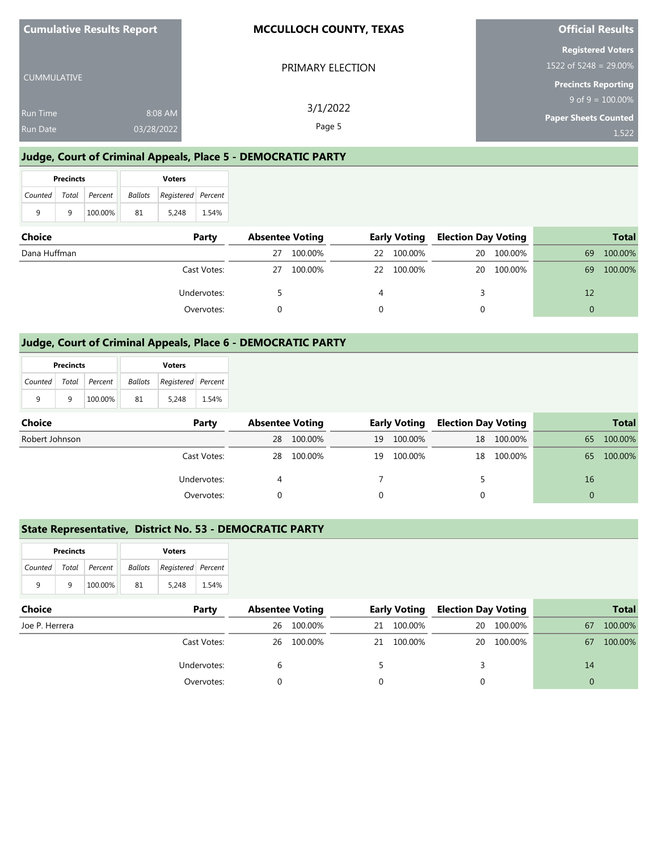| <b>Cumulative Results Report</b>   |                       | <b>MCCULLOCH COUNTY, TEXAS</b> | <b>Official Results</b>                                                         |  |  |
|------------------------------------|-----------------------|--------------------------------|---------------------------------------------------------------------------------|--|--|
| CUMMULATIVE                        |                       | PRIMARY ELECTION               | <b>Registered Voters</b><br>1522 of 5248 = 29.00%<br><b>Precincts Reporting</b> |  |  |
|                                    |                       | 3/1/2022                       | $9$ of $9 = 100.00\%$                                                           |  |  |
| <b>Run Time</b><br><b>Run Date</b> | 8:08 AM<br>03/28/2022 | Page 5                         | <b>Paper Sheets Counted</b><br>1,522                                            |  |  |

## **Judge, Court of Criminal Appeals, Place 5 - DEMOCRATIC PARTY**

|   | <b>Precincts</b> |                       | <b>Voters</b> |                                   |       |  |  |
|---|------------------|-----------------------|---------------|-----------------------------------|-------|--|--|
|   |                  | Counted Total Percent |               | <b>Ballots</b> Registered Percent |       |  |  |
| 9 | q                | 100.00%               | 81            | 5,248                             | 1.54% |  |  |

| <b>Choice</b><br>Party |             | <b>Absentee Voting</b> |         | <b>Early Voting</b> |         | <b>Election Day Voting</b> |            | <b>Total</b> |         |
|------------------------|-------------|------------------------|---------|---------------------|---------|----------------------------|------------|--------------|---------|
| Dana Huffman           |             | 27                     | 100.00% | 22                  | 100.00% | 20                         | 100.00%    | 69           | 100.00% |
|                        | Cast Votes: | 27                     | 100.00% | 22                  | 100.00% |                            | 20 100.00% | 69           | 100.00% |
|                        | Undervotes: |                        |         |                     |         |                            |            | 12           |         |
|                        | Overvotes:  |                        |         |                     |         |                            |            | 0            |         |

### **Judge, Court of Criminal Appeals, Place 6 - DEMOCRATIC PARTY**

|               | <b>Precincts</b> |         | <b>Voters</b> |                                   |       |  |  |
|---------------|------------------|---------|---------------|-----------------------------------|-------|--|--|
| Counted Total |                  | Percent |               | <b>Ballots</b> Registered Percent |       |  |  |
| 9             | q                | 100.00% | 81            | 5.248                             | 1.54% |  |  |

| Choice<br>Party |             | <b>Absentee Voting</b> |            | <b>Early Voting</b> |         | <b>Election Day Voting</b> |            | <b>Total</b> |          |
|-----------------|-------------|------------------------|------------|---------------------|---------|----------------------------|------------|--------------|----------|
| Robert Johnson  |             | 28                     | 100.00%    | 19                  | 100.00% |                            | 18 100.00% | 65           | 100.00%  |
|                 | Cast Votes: |                        | 28 100.00% | 19                  | 100.00% |                            | 18 100.00% | 65           | 100.00%  |
|                 | Undervotes: |                        |            |                     |         |                            |            | 16           |          |
|                 | Overvotes:  |                        |            |                     |         |                            |            |              | $\Omega$ |

## **State Representative, District No. 53 - DEMOCRATIC PARTY**

|   | <b>Precincts</b> |                       | <b>Voters</b> |                    |       |  |  |
|---|------------------|-----------------------|---------------|--------------------|-------|--|--|
|   |                  | Counted Total Percent | Ballots       | Registered Percent |       |  |  |
| q | q                | 100.00%               | 81            | 5.248              | 1.54% |  |  |

| <b>Choice</b><br>Party |             | <b>Absentee Voting</b> |            | <b>Early Voting</b> |         | <b>Election Day Voting</b> |            | <b>Total</b> |         |
|------------------------|-------------|------------------------|------------|---------------------|---------|----------------------------|------------|--------------|---------|
| Joe P. Herrera         |             | 26                     | 100.00%    | 21                  | 100.00% |                            | 20 100.00% | 67           | 100.00% |
|                        | Cast Votes: |                        | 26 100.00% | 21                  | 100.00% |                            | 20 100.00% | 67           | 100.00% |
|                        | Undervotes: |                        |            |                     |         |                            |            | 14           |         |
|                        | Overvotes:  |                        |            |                     |         |                            |            | 0            |         |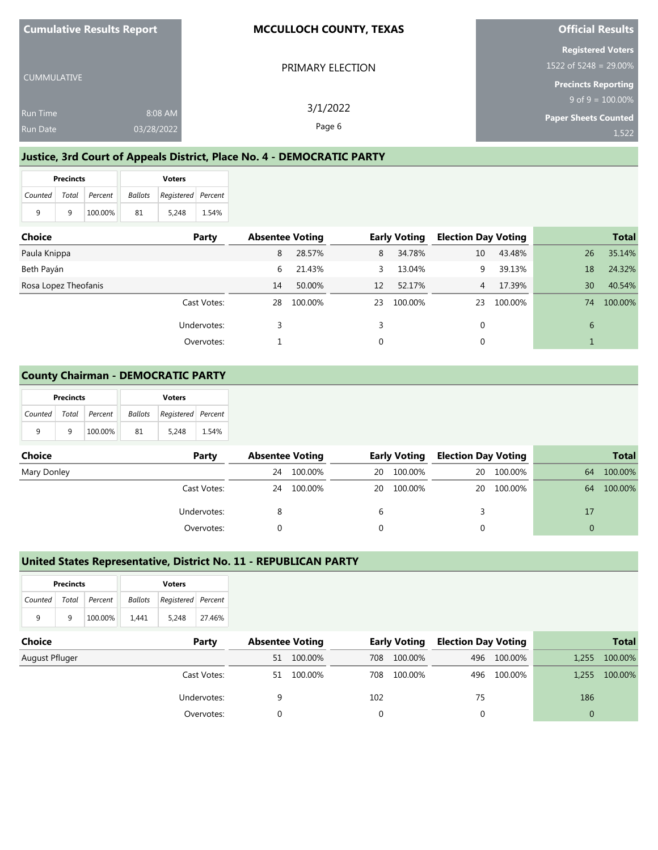| <b>Cumulative Results Report</b> |            | <b>MCCULLOCH COUNTY, TEXAS</b> | <b>Official Results</b>                              |  |  |
|----------------------------------|------------|--------------------------------|------------------------------------------------------|--|--|
|                                  |            | PRIMARY ELECTION               | <b>Registered Voters</b><br>1522 of 5248 = $29.00\%$ |  |  |
| <b>CUMMULATIVE</b>               |            |                                | <b>Precincts Reporting</b>                           |  |  |
|                                  |            | 3/1/2022                       | $9$ of $9 = 100.00\%$                                |  |  |
| <b>Run Time</b>                  | 8:08 AM    |                                | <b>Paper Sheets Counted</b>                          |  |  |
| <b>Run Date</b>                  | 03/28/2022 | Page 6                         | 1,522                                                |  |  |

## **Justice, 3rd Court of Appeals District, Place No. 4 - DEMOCRATIC PARTY**

|   | <b>Precincts</b> |                       | <b>Voters</b> |                                   |       |  |  |
|---|------------------|-----------------------|---------------|-----------------------------------|-------|--|--|
|   |                  | Counted Total Percent |               | <b>Ballots</b> Registered Percent |       |  |  |
| 9 | q                | 100.00%               | 81            | 5.248                             | 1.54% |  |  |

| <b>Choice</b>        | Party       | <b>Absentee Voting</b> |         |    | <b>Early Voting</b> | <b>Election Day Voting</b> |         |    | <b>Total</b> |
|----------------------|-------------|------------------------|---------|----|---------------------|----------------------------|---------|----|--------------|
| Paula Knippa         |             | 8                      | 28.57%  | 8  | 34.78%              | 10                         | 43.48%  | 26 | 35.14%       |
| Beth Payán           |             | 6                      | 21.43%  | 3  | 13.04%              | 9                          | 39.13%  | 18 | 24.32%       |
| Rosa Lopez Theofanis |             | 14                     | 50.00%  | 12 | 52.17%              | 4                          | 17.39%  | 30 | 40.54%       |
|                      | Cast Votes: | 28                     | 100.00% | 23 | 100.00%             | 23                         | 100.00% | 74 | 100.00%      |
|                      | Undervotes: |                        |         |    |                     | 0                          |         | 6  |              |
|                      | Overvotes:  |                        |         |    |                     |                            |         |    |              |

### **County Chairman - DEMOCRATIC PARTY**

|   | <b>Precincts</b> |                       | <b>Voters</b> |                    |       |  |  |
|---|------------------|-----------------------|---------------|--------------------|-------|--|--|
|   |                  | Counted Total Percent | Ballots       | Registered Percent |       |  |  |
| 9 | q                | 100.00%               | 81            | 5.248              | 1.54% |  |  |

| Choice      | Party       |    | <b>Absentee Voting</b> |    | <b>Early Voting</b> |  | <b>Election Day Voting</b> |    | <b>Total</b> |
|-------------|-------------|----|------------------------|----|---------------------|--|----------------------------|----|--------------|
| Mary Donley |             | 24 | 100.00%                | 20 | 100.00%             |  | 20 100.00%                 | 64 | 100.00%      |
|             | Cast Votes: |    | 24 100.00%             |    | 20 100.00%          |  | 20 100.00%                 | 64 | 100.00%      |
|             | Undervotes: |    |                        |    |                     |  |                            | 17 |              |
|             | Overvotes:  |    |                        |    |                     |  |                            |    |              |

### **United States Representative, District No. 11 - REPUBLICAN PARTY**

| <b>Precincts</b>      |   |         | <b>Voters</b> |                                   |        |  |  |
|-----------------------|---|---------|---------------|-----------------------------------|--------|--|--|
| Counted Total Percent |   |         |               | <b>Ballots</b> Registered Percent |        |  |  |
| q                     | q | 100.00% | 1.441         | 5.248                             | 27.46% |  |  |

| <b>Choice</b>  | Party       | <b>Absentee Voting</b> |            | <b>Early Voting</b> |         | <b>Election Day Voting</b> |             | <b>Total</b> |         |
|----------------|-------------|------------------------|------------|---------------------|---------|----------------------------|-------------|--------------|---------|
| August Pfluger |             | 51                     | 100.00%    | 708                 | 100.00% |                            | 496 100.00% | 1,255        | 100.00% |
|                | Cast Votes: |                        | 51 100.00% | 708                 | 100.00% |                            | 496 100.00% | 1,255        | 100.00% |
|                | Undervotes: |                        |            | 102                 |         | 75                         |             | 186          |         |
|                | Overvotes:  |                        |            |                     |         |                            |             |              |         |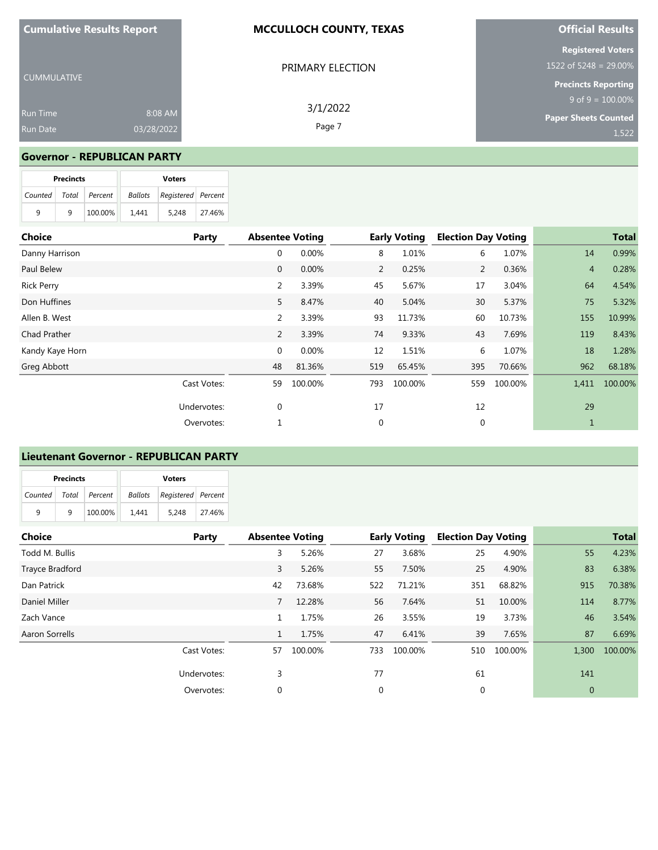| <b>Cumulative Results Report</b>   |                       | <b>MCCULLOCH COUNTY, TEXAS</b> | <b>Official Results</b>                                                            |  |  |
|------------------------------------|-----------------------|--------------------------------|------------------------------------------------------------------------------------|--|--|
| <b>CUMMULATIVE</b>                 |                       | PRIMARY ELECTION               | <b>Registered Voters</b><br>1522 of 5248 = $29.00\%$<br><b>Precincts Reporting</b> |  |  |
| <b>Run Time</b><br><b>Run Date</b> | 8:08 AM<br>03/28/2022 | 3/1/2022<br>Page 7             | $9$ of $9 = 100.00\%$<br><b>Paper Sheets Counted</b><br>1,522                      |  |  |

### **Governor - REPUBLICAN PARTY**

|   | <b>Precincts</b> |                       | <b>Voters</b> |                                   |        |  |  |
|---|------------------|-----------------------|---------------|-----------------------------------|--------|--|--|
|   |                  | Counted Total Percent |               | <b>Ballots</b> Registered Percent |        |  |  |
| 9 | q                | 100.00%               | 1.441         | 5.248                             | 27.46% |  |  |

| <b>Choice</b>     | Party       | <b>Absentee Voting</b> |         |     | <b>Early Voting</b> | <b>Election Day Voting</b> |         |                | <b>Total</b> |
|-------------------|-------------|------------------------|---------|-----|---------------------|----------------------------|---------|----------------|--------------|
| Danny Harrison    |             | 0                      | 0.00%   | 8   | 1.01%               | 6                          | 1.07%   | 14             | 0.99%        |
| Paul Belew        |             | $\mathbf 0$            | 0.00%   | 2   | 0.25%               | $\overline{2}$             | 0.36%   | $\overline{4}$ | 0.28%        |
| <b>Rick Perry</b> |             | $\overline{2}$         | 3.39%   | 45  | 5.67%               | 17                         | 3.04%   | 64             | 4.54%        |
| Don Huffines      |             | 5                      | 8.47%   | 40  | 5.04%               | 30                         | 5.37%   | 75             | 5.32%        |
| Allen B. West     |             | $\overline{2}$         | 3.39%   | 93  | 11.73%              | 60                         | 10.73%  | 155            | 10.99%       |
| Chad Prather      |             | 2                      | 3.39%   | 74  | 9.33%               | 43                         | 7.69%   | 119            | 8.43%        |
| Kandy Kaye Horn   |             | $\mathbf{0}$           | 0.00%   | 12  | 1.51%               | 6                          | 1.07%   | 18             | 1.28%        |
| Greg Abbott       |             | 48                     | 81.36%  | 519 | 65.45%              | 395                        | 70.66%  | 962            | 68.18%       |
|                   | Cast Votes: | 59                     | 100.00% | 793 | 100.00%             | 559                        | 100.00% | 1,411          | 100.00%      |
|                   | Undervotes: | 0                      |         | 17  |                     | 12                         |         | 29             |              |
|                   | Overvotes:  | 1                      |         | 0   |                     | 0                          |         | 1              |              |

### **Lieutenant Governor - REPUBLICAN PARTY**

| <b>Precincts</b> |   |                       | <b>Voters</b> |                                |        |  |  |
|------------------|---|-----------------------|---------------|--------------------------------|--------|--|--|
|                  |   | Counted Total Percent |               | Ballots   Registered   Percent |        |  |  |
| 9                | q | 100.00%               | 1.441         | 5.248                          | 27.46% |  |  |

| <b>Choice</b>   | Party       | <b>Absentee Voting</b> |         | <b>Early Voting</b> |         | <b>Election Day Voting</b> |         |              | <b>Total</b> |
|-----------------|-------------|------------------------|---------|---------------------|---------|----------------------------|---------|--------------|--------------|
| Todd M. Bullis  |             | 3                      | 5.26%   | 27                  | 3.68%   | 25                         | 4.90%   | 55           | 4.23%        |
| Trayce Bradford |             | 3                      | 5.26%   | 55                  | 7.50%   | 25                         | 4.90%   | 83           | 6.38%        |
| Dan Patrick     |             | 42                     | 73.68%  | 522                 | 71.21%  | 351                        | 68.82%  | 915          | 70.38%       |
| Daniel Miller   |             | 7                      | 12.28%  | 56                  | 7.64%   | 51                         | 10.00%  | 114          | 8.77%        |
| Zach Vance      |             | 1                      | 1.75%   | 26                  | 3.55%   | 19                         | 3.73%   | 46           | 3.54%        |
| Aaron Sorrells  |             | $\mathbf{1}$           | 1.75%   | 47                  | 6.41%   | 39                         | 7.65%   | 87           | 6.69%        |
|                 | Cast Votes: | 57                     | 100.00% | 733                 | 100.00% | 510                        | 100.00% | 1,300        | 100.00%      |
|                 | Undervotes: | 3                      |         | 77                  |         | 61                         |         | 141          |              |
|                 | Overvotes:  | 0                      |         | 0                   |         | 0                          |         | $\mathbf{0}$ |              |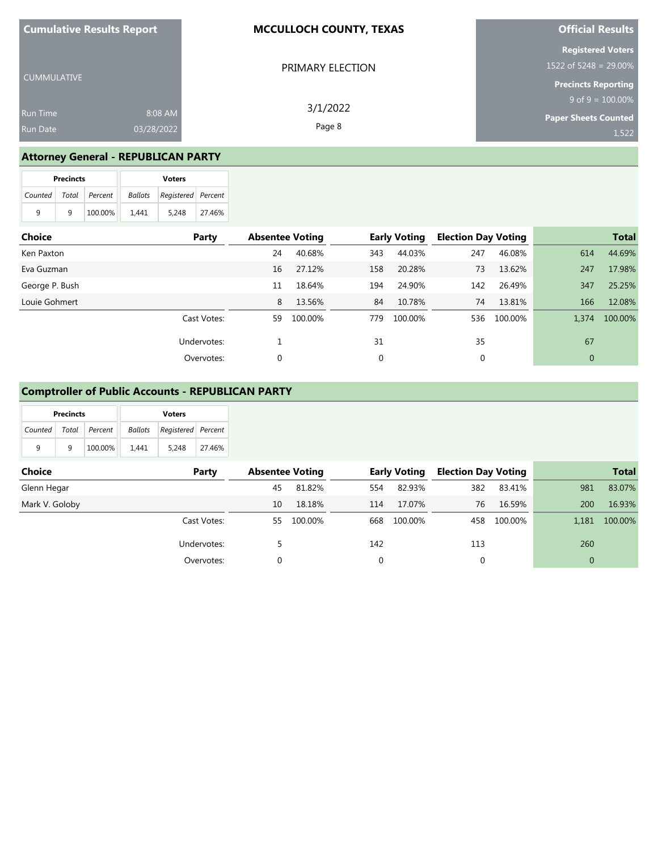| <b>Cumulative Results Report</b> |            | <b>MCCULLOCH COUNTY, TEXAS</b> | <b>Official Results</b>     |  |  |
|----------------------------------|------------|--------------------------------|-----------------------------|--|--|
|                                  |            |                                | <b>Registered Voters</b>    |  |  |
|                                  |            | PRIMARY ELECTION               | 1522 of 5248 = $29.00\%$    |  |  |
| l CUMMULATIVE                    |            |                                | <b>Precincts Reporting</b>  |  |  |
|                                  |            | 3/1/2022                       | $9$ of $9 = 100.00\%$       |  |  |
| <b>Run Time</b>                  | 8:08 AM    |                                | <b>Paper Sheets Counted</b> |  |  |
| <b>Run Date</b>                  | 03/28/2022 | Page 8                         | 1,522                       |  |  |

# **Attorney General - REPUBLICAN PARTY**

|                       | <b>Precincts</b> |         | <b>Voters</b> |                    |        |  |  |
|-----------------------|------------------|---------|---------------|--------------------|--------|--|--|
| Counted Total Percent |                  |         | Ballots       | Registered Percent |        |  |  |
| 9                     | q                | 100.00% | 1.441         | 5.248              | 27.46% |  |  |

| Choice         | Party       | <b>Absentee Voting</b> |         |     | <b>Early Voting</b> |     | <b>Election Day Voting</b> |              | <b>Total</b> |
|----------------|-------------|------------------------|---------|-----|---------------------|-----|----------------------------|--------------|--------------|
| Ken Paxton     |             | 24                     | 40.68%  | 343 | 44.03%              | 247 | 46.08%                     | 614          | 44.69%       |
| Eva Guzman     |             | 16                     | 27.12%  | 158 | 20.28%              | 73  | 13.62%                     | 247          | 17.98%       |
| George P. Bush |             | 11                     | 18.64%  | 194 | 24.90%              | 142 | 26.49%                     | 347          | 25.25%       |
| Louie Gohmert  |             | 8                      | 13.56%  | 84  | 10.78%              | 74  | 13.81%                     | 166          | 12.08%       |
|                | Cast Votes: | 59                     | 100.00% | 779 | 100.00%             | 536 | 100.00%                    | 1,374        | 100.00%      |
|                | Undervotes: |                        |         | 31  |                     | 35  |                            | 67           |              |
|                | Overvotes:  | 0                      |         | 0   |                     | 0   |                            | $\mathbf{0}$ |              |

## **Comptroller of Public Accounts - REPUBLICAN PARTY**

| <b>Precincts</b>          |   |         | <b>Voters</b> |                                   |        |  |  |
|---------------------------|---|---------|---------------|-----------------------------------|--------|--|--|
| Counted   Total   Percent |   |         |               | <b>Ballots</b> Registered Percent |        |  |  |
| 9                         | q | 100.00% | 1.441         | 5.248                             | 27.46% |  |  |

| <b>Choice</b>  | Party       | <b>Absentee Voting</b> |         |     | <b>Early Voting</b> | <b>Election Day Voting</b> |         |              | <b>Total</b> |
|----------------|-------------|------------------------|---------|-----|---------------------|----------------------------|---------|--------------|--------------|
| Glenn Hegar    |             | 45                     | 81.82%  | 554 | 82.93%              | 382                        | 83.41%  | 981          | 83.07%       |
| Mark V. Goloby |             | 10                     | 18.18%  | 114 | 17.07%              | 76                         | 16.59%  | 200          | 16.93%       |
|                | Cast Votes: | 55                     | 100.00% | 668 | 100.00%             | 458                        | 100.00% | 1.181        | 100.00%      |
|                | Undervotes: |                        |         | 142 |                     | 113                        |         | 260          |              |
|                | Overvotes:  |                        |         | 0   |                     | 0                          |         | $\mathbf{0}$ |              |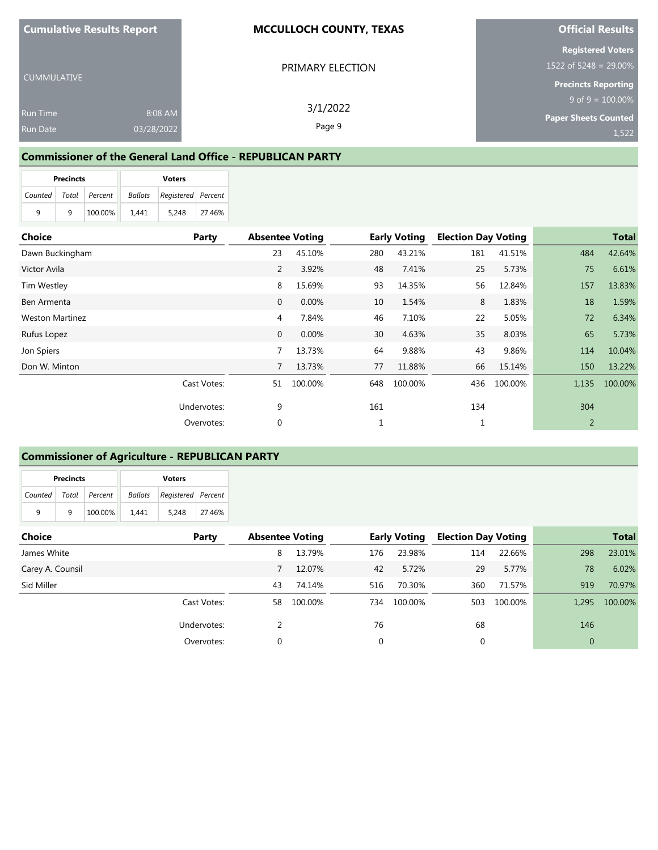**Cumulative Results Report**

CUMMULATIVE

Run Time

#### **MCCULLOCH COUNTY, TEXAS**

PRIMARY ELECTION

3/1/2022 Page 9

### **Official Results**

**Registered Voters**

1522 of 5248 = 29.00%

**Precincts Reporting**  $9$  of  $9 = 100.00\%$ 

**Paper Sheets Counted**

1,522

### **Commissioner of the General Land Office - REPUBLICAN PARTY**

8:08 AM 03/28/2022

|                       | <b>Precincts</b> |         | <b>Voters</b> |                    |        |  |
|-----------------------|------------------|---------|---------------|--------------------|--------|--|
| Counted Total Percent |                  |         | Ballots       | Registered Percent |        |  |
| 9                     | q                | 100.00% | 1.441         | 5.248              | 27.46% |  |

| <b>Choice</b>          | Party       | <b>Absentee Voting</b> |         |     | <b>Early Voting</b> | <b>Election Day Voting</b> |         |       | <b>Total</b> |
|------------------------|-------------|------------------------|---------|-----|---------------------|----------------------------|---------|-------|--------------|
| Dawn Buckingham        |             | 23                     | 45.10%  | 280 | 43.21%              | 181                        | 41.51%  | 484   | 42.64%       |
| Victor Avila           |             | $\overline{2}$         | 3.92%   | 48  | 7.41%               | 25                         | 5.73%   | 75    | 6.61%        |
| Tim Westley            |             | 8                      | 15.69%  | 93  | 14.35%              | 56                         | 12.84%  | 157   | 13.83%       |
| Ben Armenta            |             | $\mathbf{0}$           | 0.00%   | 10  | 1.54%               | 8                          | 1.83%   | 18    | 1.59%        |
| <b>Weston Martinez</b> |             | 4                      | 7.84%   | 46  | 7.10%               | 22                         | 5.05%   | 72    | 6.34%        |
| Rufus Lopez            |             | $\mathbf{0}$           | 0.00%   | 30  | 4.63%               | 35                         | 8.03%   | 65    | 5.73%        |
| Jon Spiers             |             | 7                      | 13.73%  | 64  | 9.88%               | 43                         | 9.86%   | 114   | 10.04%       |
| Don W. Minton          |             | 7                      | 13.73%  | 77  | 11.88%              | 66                         | 15.14%  | 150   | 13.22%       |
|                        | Cast Votes: | 51                     | 100.00% | 648 | 100.00%             | 436                        | 100.00% | 1,135 | 100.00%      |
|                        | Undervotes: | 9                      |         | 161 |                     | 134                        |         | 304   |              |
|                        | Overvotes:  | 0                      |         |     |                     | 1                          |         | 2     |              |

### **Commissioner of Agriculture - REPUBLICAN PARTY**

| <b>Precincts</b> |       |         | <b>Voters</b> |                    |        |  |
|------------------|-------|---------|---------------|--------------------|--------|--|
| Counted          | Total | Percent | Ballots       | Registered Percent |        |  |
| 9                | q     | 100.00% | 1.441         | 5.248              | 27.46% |  |

| <b>Choice</b>    | Party       | <b>Absentee Voting</b> |         |     | <b>Early Voting</b> | <b>Election Day Voting</b> |         |                | <b>Total</b> |
|------------------|-------------|------------------------|---------|-----|---------------------|----------------------------|---------|----------------|--------------|
| James White      |             | 8                      | 13.79%  | 176 | 23.98%              | 114                        | 22.66%  | 298            | 23.01%       |
| Carey A. Counsil |             |                        | 12.07%  | 42  | 5.72%               | 29                         | 5.77%   | 78             | 6.02%        |
| Sid Miller       |             | 43                     | 74.14%  | 516 | 70.30%              | 360                        | 71.57%  | 919            | 70.97%       |
|                  | Cast Votes: | 58                     | 100.00% | 734 | 100.00%             | 503                        | 100.00% | 1.295          | 100.00%      |
|                  | Undervotes: |                        |         | 76  |                     | 68                         |         | 146            |              |
|                  | Overvotes:  | 0                      |         | 0   |                     | $\mathbf{0}$               |         | $\overline{0}$ |              |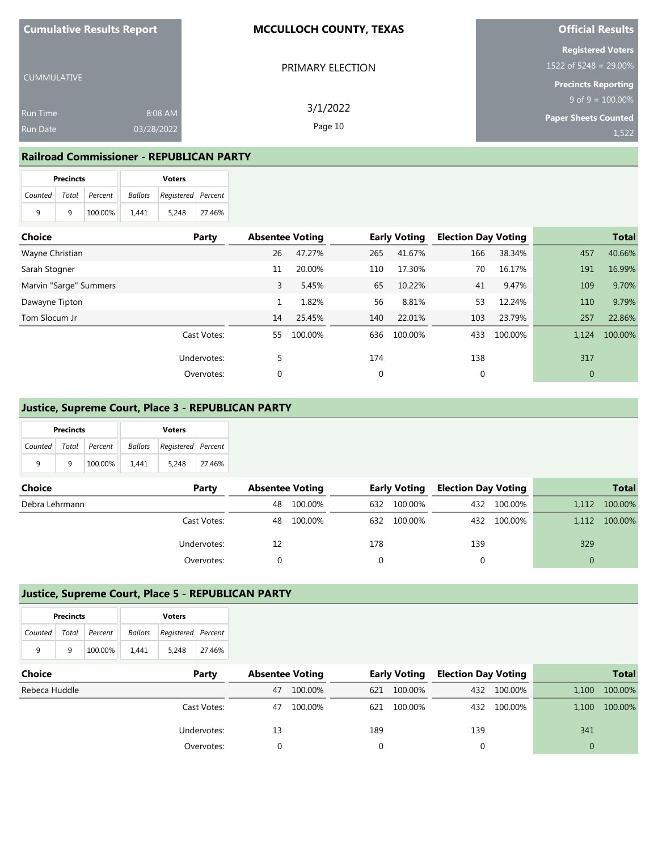| <b>Cumulative Results Report</b> |            | <b>MCCULLOCH COUNTY, TEXAS</b> | <b>Official Results</b>                              |  |  |
|----------------------------------|------------|--------------------------------|------------------------------------------------------|--|--|
|                                  |            | PRIMARY ELECTION               | <b>Registered Voters</b><br>1522 of 5248 = 29.00%    |  |  |
| <b>CUMMULATIVE</b>               |            |                                | <b>Precincts Reporting</b>                           |  |  |
| <b>Run Time</b>                  | 8:08 AM    | 3/1/2022                       | $9$ of $9 = 100.00\%$<br><b>Paper Sheets Counted</b> |  |  |
| Run Date                         | 03/28/2022 | Page 10                        | 1.522                                                |  |  |

### **Railroad Commissioner - REPUBLICAN PARTY**

|                       | <b>Precincts</b> |         | <b>Voters</b> |                                   |        |  |
|-----------------------|------------------|---------|---------------|-----------------------------------|--------|--|
| Counted Total Percent |                  |         |               | <b>Ballots</b> Registered Percent |        |  |
| 9                     | q                | 100.00% | 1.441         | 5.248                             | 27.46% |  |

| <b>Choice</b>          | Party       | <b>Absentee Voting</b> |         |     | <b>Early Voting</b> | <b>Election Day Voting</b> |         |                | <b>Total</b> |
|------------------------|-------------|------------------------|---------|-----|---------------------|----------------------------|---------|----------------|--------------|
| Wayne Christian        |             | 26                     | 47.27%  | 265 | 41.67%              | 166                        | 38.34%  | 457            | 40.66%       |
| Sarah Stogner          |             | 11                     | 20.00%  | 110 | 17.30%              | 70                         | 16.17%  | 191            | 16.99%       |
| Marvin "Sarge" Summers |             | 3                      | 5.45%   | 65  | 10.22%              | 41                         | 9.47%   | 109            | 9.70%        |
| Dawayne Tipton         |             |                        | 1.82%   | 56  | 8.81%               | 53                         | 12.24%  | 110            | 9.79%        |
| Tom Slocum Jr          |             | 14                     | 25.45%  | 140 | 22.01%              | 103                        | 23.79%  | 257            | 22.86%       |
|                        | Cast Votes: | 55                     | 100.00% | 636 | 100.00%             | 433                        | 100.00% | 1,124          | 100.00%      |
|                        | Undervotes: | 5                      |         | 174 |                     | 138                        |         | 317            |              |
|                        | Overvotes:  | 0                      |         | 0   |                     | $\mathbf{0}$               |         | $\overline{0}$ |              |

### **Justice, Supreme Court, Place 3 - REPUBLICAN PARTY**

| <b>Precincts</b> |   |                 | <b>Voters</b> |                                   |        |  |  |
|------------------|---|-----------------|---------------|-----------------------------------|--------|--|--|
| Counted          |   | Total   Percent |               | <b>Ballots</b> Registered Percent |        |  |  |
| q                | q | 100.00%         | 1.441         | 5.248                             | 27.46% |  |  |

| <b>Choice</b>  | Party       | <b>Absentee Voting</b> |            |     | <b>Early Voting</b> | <b>Election Day Voting</b> |             |       | <b>Total</b> |
|----------------|-------------|------------------------|------------|-----|---------------------|----------------------------|-------------|-------|--------------|
| Debra Lehrmann |             | 48                     | 100.00%    | 632 | 100.00%             |                            | 432 100.00% | 1,112 | 100.00%      |
|                | Cast Votes: |                        | 48 100.00% | 632 | 100.00%             |                            | 432 100.00% | 1.112 | 100.00%      |
|                | Undervotes: |                        |            | 178 |                     | 139                        |             | 329   |              |
|                | Overvotes:  |                        |            |     |                     |                            |             |       |              |

## **Justice, Supreme Court, Place 5 - REPUBLICAN PARTY**

| <b>Precincts</b>      |   |         | <b>Voters</b> |                                       |        |  |
|-----------------------|---|---------|---------------|---------------------------------------|--------|--|
| Counted Total Percent |   |         |               | <b>Ballots</b>   Registered   Percent |        |  |
| q                     | q | 100.00% | 1.441         | 5.248                                 | 27.46% |  |

| <b>Choice</b> | Party       |    | <b>Absentee Voting</b> |     | <b>Early Voting</b> | Election Day Voting |             |       | <b>Total</b>  |
|---------------|-------------|----|------------------------|-----|---------------------|---------------------|-------------|-------|---------------|
| Rebeca Huddle |             | 47 | 100.00%                | 621 | 100.00%             |                     | 432 100.00% | 1,100 | 100.00%       |
|               | Cast Votes: | 47 | 100.00%                | 621 | 100.00%             |                     | 432 100.00% |       | 1,100 100.00% |
|               | Undervotes: | 13 |                        | 189 |                     | 139                 |             | 341   |               |
|               | Overvotes:  |    |                        |     |                     |                     |             |       |               |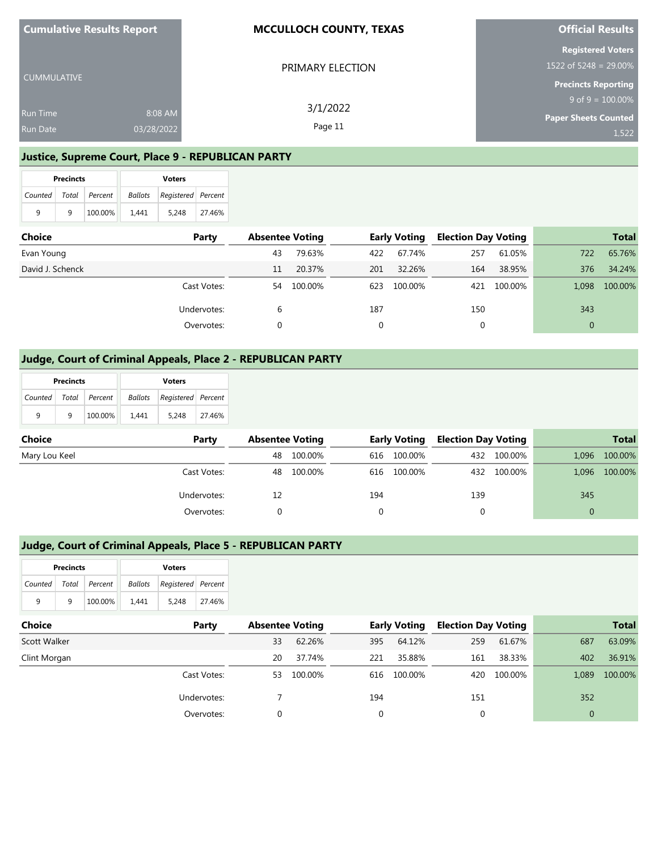| <b>Cumulative Results Report</b> |         | <b>MCCULLOCH COUNTY, TEXAS</b> | <b>Official Results</b>     |
|----------------------------------|---------|--------------------------------|-----------------------------|
|                                  |         |                                | <b>Registered Voters</b>    |
| CUMMULATIVE                      |         | PRIMARY ELECTION               | 1522 of 5248 = 29.00%       |
|                                  |         |                                | <b>Precincts Reporting</b>  |
|                                  |         | 3/1/2022                       | $9$ of $9 = 100.00\%$       |
| <b>Run Time</b>                  | 8:08 AM |                                | <b>Paper Sheets Counted</b> |
| 03/28/2022<br><b>Run Date</b>    |         | Page 11                        | 1.522                       |

### **Justice, Supreme Court, Place 9 - REPUBLICAN PARTY**

|                       | <b>Precincts</b> |         |         | <b>Voters</b>      |        |
|-----------------------|------------------|---------|---------|--------------------|--------|
| Counted Total Percent |                  |         | Ballots | Registered Percent |        |
| 9                     | q                | 100.00% | 1.441   | 5.248              | 27.46% |

| Choice           | Party       | <b>Absentee Voting</b> |         |     | <b>Early Voting</b> | <b>Election Day Voting</b> |             |          | <b>Total</b> |
|------------------|-------------|------------------------|---------|-----|---------------------|----------------------------|-------------|----------|--------------|
| Evan Young       |             | 43                     | 79.63%  | 422 | 67.74%              | 257                        | 61.05%      | 722      | 65.76%       |
| David J. Schenck |             | 11                     | 20.37%  | 201 | 32.26%              | 164                        | 38.95%      | 376      | 34.24%       |
|                  | Cast Votes: | 54                     | 100.00% | 623 | 100.00%             |                            | 421 100.00% | 1,098    | 100.00%      |
|                  | Undervotes: | 6                      |         | 187 |                     | 150                        |             | 343      |              |
|                  | Overvotes:  |                        |         |     |                     |                            |             | $\Omega$ |              |

### **Judge, Court of Criminal Appeals, Place 2 - REPUBLICAN PARTY**

|               | <b>Precincts</b> |         |                | <b>Voters</b>      |              |                        |         |     |                     |             |                            |              |
|---------------|------------------|---------|----------------|--------------------|--------------|------------------------|---------|-----|---------------------|-------------|----------------------------|--------------|
| Counted       | Total            | Percent | <b>Ballots</b> | Registered Percent |              |                        |         |     |                     |             |                            |              |
| 9             | 9                | 100.00% | 1,441          | 5,248              | 27.46%       |                        |         |     |                     |             |                            |              |
| <b>Choice</b> |                  |         |                |                    | <b>Party</b> | <b>Absentee Voting</b> |         |     | <b>Early Voting</b> |             | <b>Election Day Voting</b> |              |
| Mary Lou Keel |                  |         |                |                    |              | 48                     | 100.00% | 616 | 100.00%             | 432         | 100.00%                    | 1,096        |
|               |                  |         |                |                    | Cast Votes:  | 48                     | 100.00% | 616 | 100.00%             |             | 432 100.00%                | 1,096        |
|               |                  |         |                |                    | Undervotes:  | 12                     |         | 194 |                     | 139         |                            | 345          |
|               |                  |         |                |                    | Overvotes:   | 0                      |         | 0   |                     | $\mathbf 0$ |                            | $\mathbf{0}$ |

### **Judge, Court of Criminal Appeals, Place 5 - REPUBLICAN PARTY**

|                       | <b>Precincts</b> |         |         | <b>Voters</b>      |        |
|-----------------------|------------------|---------|---------|--------------------|--------|
| Counted Total Percent |                  |         | Ballots | Registered Percent |        |
| 9                     | q                | 100.00% | 1.441   | 5.248              | 27.46% |

| Choice       | Party       | <b>Absentee Voting</b> |         |     | <b>Early Voting</b> | <b>Election Day Voting</b> |         |       | <b>Total</b> |
|--------------|-------------|------------------------|---------|-----|---------------------|----------------------------|---------|-------|--------------|
| Scott Walker |             | 33                     | 62.26%  | 395 | 64.12%              | 259                        | 61.67%  | 687   | 63.09%       |
| Clint Morgan |             | 20                     | 37.74%  | 221 | 35.88%              | 161                        | 38.33%  | 402   | 36.91%       |
|              | Cast Votes: | 53                     | 100.00% | 616 | 100.00%             | 420                        | 100.00% | 1.089 | 100.00%      |
|              | Undervotes: |                        |         | 194 |                     | 151                        |         | 352   |              |
|              | Overvotes:  | 0                      |         |     |                     | $\Omega$                   |         | 0     |              |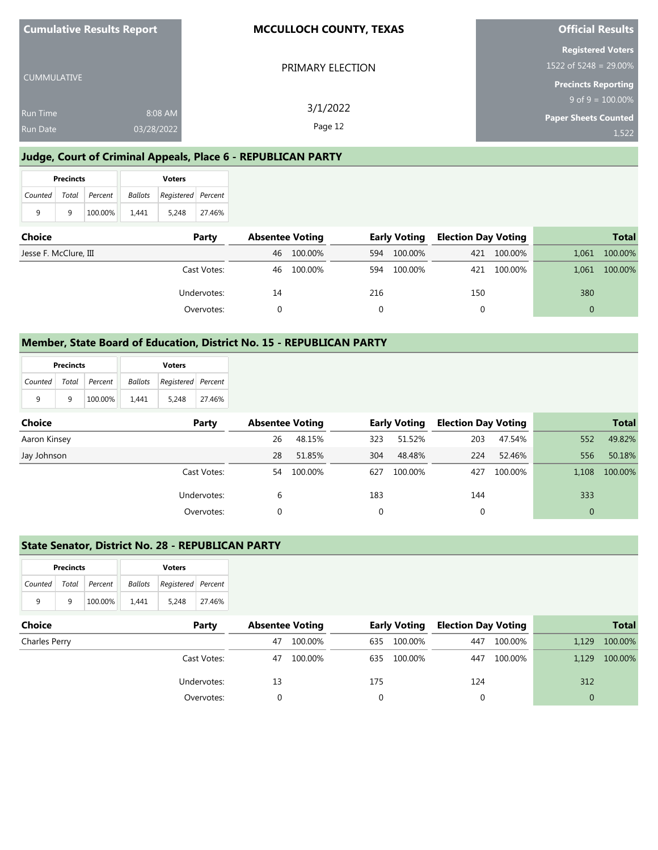| <b>Cumulative Results Report</b> |            | <b>MCCULLOCH COUNTY, TEXAS</b> | <b>Official Results</b>                                                         |  |  |
|----------------------------------|------------|--------------------------------|---------------------------------------------------------------------------------|--|--|
| <b>CUMMULATIVE</b>               |            | PRIMARY ELECTION               | <b>Registered Voters</b><br>1522 of 5248 = 29.00%<br><b>Precincts Reporting</b> |  |  |
|                                  |            | 3/1/2022                       | $9$ of $9 = 100.00\%$                                                           |  |  |
| <b>Run Time</b>                  | 8:08 AM    |                                | <b>Paper Sheets Counted</b>                                                     |  |  |
| <b>Run Date</b>                  | 03/28/2022 | Page 12                        | 1,522                                                                           |  |  |

# **Judge, Court of Criminal Appeals, Place 6 - REPUBLICAN PARTY**

|   | <b>Precincts</b> |                       |       | <b>Voters</b>                     |        |
|---|------------------|-----------------------|-------|-----------------------------------|--------|
|   |                  | Counted Total Percent |       | <b>Ballots</b> Registered Percent |        |
| 9 | q                | 100.00%               | 1.441 | 5.248                             | 27.46% |

| <b>Choice</b>         | Party       | <b>Absentee Voting</b> |         | <b>Early Voting</b> |         | <b>Election Day Voting</b> |             | <b>Total</b> |         |
|-----------------------|-------------|------------------------|---------|---------------------|---------|----------------------------|-------------|--------------|---------|
| Jesse F. McClure, III |             | 46                     | 100.00% | 594                 | 100.00% |                            | 421 100.00% | 1.061        | 100.00% |
|                       | Cast Votes: | 46                     | 100.00% | 594                 | 100.00% |                            | 421 100.00% | 1,061        | 100.00% |
|                       | Undervotes: | 14                     |         | 216                 |         | 150                        |             | 380          |         |
|                       | Overvotes:  |                        |         |                     |         |                            |             |              |         |

### **Member, State Board of Education, District No. 15 - REPUBLICAN PARTY**

|                       | <b>Precincts</b> |         |         | <b>Voters</b>      |        |
|-----------------------|------------------|---------|---------|--------------------|--------|
| Counted Total Percent |                  |         | Ballots | Registered Percent |        |
| q                     | a                | 100.00% | 1.441   | 5.248              | 27.46% |

| <b>Choice</b> | Party       | <b>Absentee Voting</b> |            |     | <b>Early Voting</b> | <b>Election Day Voting</b> |         |     | <b>Total</b>  |
|---------------|-------------|------------------------|------------|-----|---------------------|----------------------------|---------|-----|---------------|
| Aaron Kinsey  |             | 26                     | 48.15%     | 323 | 51.52%              | 203                        | 47.54%  | 552 | 49.82%        |
| Jay Johnson   |             | 28                     | 51.85%     | 304 | 48.48%              | 224                        | 52.46%  | 556 | 50.18%        |
|               | Cast Votes: |                        | 54 100.00% | 627 | 100.00%             | 427                        | 100.00% |     | 1,108 100.00% |
|               | Undervotes: | b                      |            | 183 |                     | 144                        |         | 333 |               |
|               | Overvotes:  |                        |            |     |                     | $\mathbf{0}$               |         | 0   |               |

### **State Senator, District No. 28 - REPUBLICAN PARTY**

|         | <b>Precincts</b> |               |         | <b>Voters</b>      |        |  |  |  |
|---------|------------------|---------------|---------|--------------------|--------|--|--|--|
| Counted |                  | Total Percent | Ballots | Registered Percent |        |  |  |  |
| 9       | q                | 100.00%       | 1.441   | 5.248              | 27.46% |  |  |  |

| Choice        | Party       | <b>Absentee Voting</b> |         | <b>Early Voting</b> |         | <b>Election Day Voting</b> |         | <b>Total</b> |         |
|---------------|-------------|------------------------|---------|---------------------|---------|----------------------------|---------|--------------|---------|
| Charles Perry |             | 47                     | 100.00% | 635                 | 100.00% | 447                        | 100.00% | 1,129        | 100.00% |
|               | Cast Votes: | 47                     | 100.00% | 635                 | 100.00% | 447                        | 100.00% | 1.129        | 100.00% |
|               | Undervotes: | 13                     |         | 175                 |         | 124                        |         | 312          |         |
|               | Overvotes:  |                        |         |                     |         |                            |         |              |         |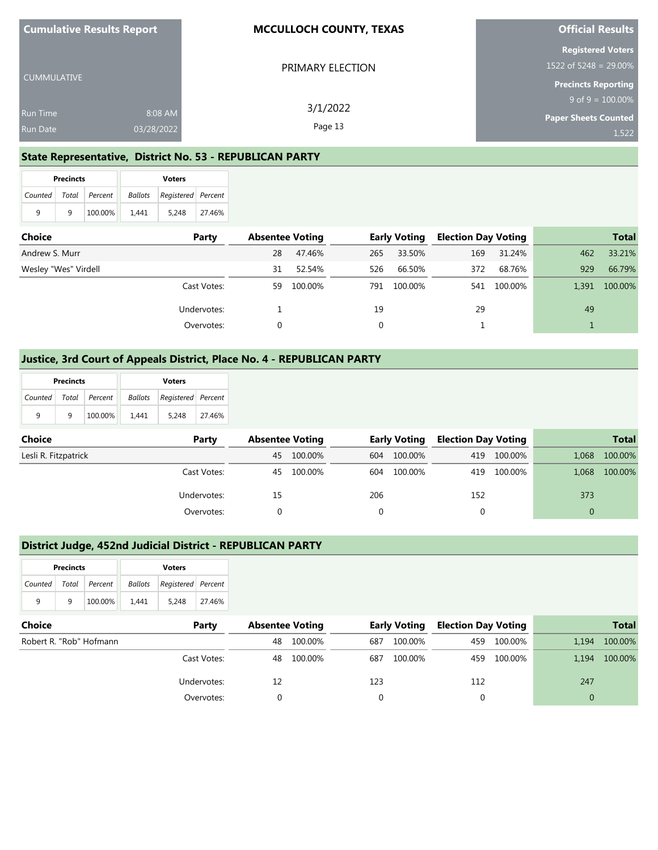| <b>Cumulative Results Report</b> |            | <b>MCCULLOCH COUNTY, TEXAS</b> | <b>Official Results</b>    |
|----------------------------------|------------|--------------------------------|----------------------------|
|                                  |            |                                | <b>Registered Voters</b>   |
|                                  |            | PRIMARY ELECTION               | 1522 of 5248 = 29.00%      |
| <b>CUMMULATIVE</b>               |            |                                | <b>Precincts Reporting</b> |
|                                  |            | 3/1/2022                       | $9$ of $9 = 100.00\%$      |
| <b>Run Time</b>                  | 8:08 AM    |                                | Paper Sheets Counted       |
| <b>Run Date</b>                  | 03/28/2022 | Page 13                        | 1.522                      |

### **State Representative, District No. 53 - REPUBLICAN PARTY**

|                       | <b>Precincts</b> |         | <b>Voters</b> |                    |        |  |  |
|-----------------------|------------------|---------|---------------|--------------------|--------|--|--|
| Counted Total Percent |                  |         | Ballots       | Registered Percent |        |  |  |
| 9                     | q                | 100.00% | 1.441         | 5.248              | 27.46% |  |  |

| Choice               | Party       | <b>Absentee Voting</b> |         | <b>Early Voting</b> |         | <b>Election Day Voting</b> |             | <b>Total</b> |         |
|----------------------|-------------|------------------------|---------|---------------------|---------|----------------------------|-------------|--------------|---------|
| Andrew S. Murr       |             | 28                     | 47.46%  | 265                 | 33.50%  | 169                        | 31.24%      | 462          | 33.21%  |
| Wesley "Wes" Virdell |             | 31                     | 52.54%  | 526                 | 66.50%  | 372                        | 68.76%      | 929          | 66.79%  |
|                      | Cast Votes: | 59                     | 100.00% | 791.                | 100.00% |                            | 541 100.00% | 1,391        | 100.00% |
|                      | Undervotes: |                        |         | 19                  |         | 29                         |             | 49           |         |
|                      | Overvotes:  |                        |         | 0                   |         |                            |             |              |         |

### **Justice, 3rd Court of Appeals District, Place No. 4 - REPUBLICAN PARTY**

|                       | <b>Precincts</b> |         | <b>Voters</b> |                                   |        |  |  |
|-----------------------|------------------|---------|---------------|-----------------------------------|--------|--|--|
| Counted Total Percent |                  |         |               | <b>Ballots</b> Registered Percent |        |  |  |
| q                     | q                | 100.00% | 1.441         | 5.248                             | 27.46% |  |  |

| <b>Choice</b>        | Party       | <b>Absentee Voting</b> |            | <b>Early Voting</b> |         | <b>Election Day Voting</b> |             |          | <b>Total</b>  |
|----------------------|-------------|------------------------|------------|---------------------|---------|----------------------------|-------------|----------|---------------|
| Lesli R. Fitzpatrick |             | 45                     | 100.00%    | 604                 | 100.00% |                            | 419 100.00% | 1.068    | 100.00%       |
|                      | Cast Votes: |                        | 45 100.00% | 604                 | 100.00% |                            | 419 100.00% |          | 1,068 100.00% |
|                      | Undervotes: | 15                     |            | 206                 |         | 152                        |             | 373      |               |
|                      | Overvotes:  |                        |            |                     |         |                            |             | $\Omega$ |               |

### **District Judge, 452nd Judicial District - REPUBLICAN PARTY**

|         | <b>Precincts</b> |                 |         | <b>Voters</b>      |        |  |  |  |
|---------|------------------|-----------------|---------|--------------------|--------|--|--|--|
| Counted |                  | Total   Percent | Ballots | Registered Percent |        |  |  |  |
| q       | q                | 100.00%         | 1.441   | 5.248              | 27.46% |  |  |  |

| <b>Choice</b>           | Party       | <b>Absentee Voting</b> |            | Early Voting |         | <b>Election Day Voting</b> |             | <b>Total</b> |         |
|-------------------------|-------------|------------------------|------------|--------------|---------|----------------------------|-------------|--------------|---------|
| Robert R. "Rob" Hofmann |             | 48                     | 100.00%    | 687          | 100.00% |                            | 459 100.00% | 1.194        | 100.00% |
|                         | Cast Votes: |                        | 48 100.00% | 687          | 100.00% |                            | 459 100.00% | 1.194        | 100.00% |
|                         | Undervotes: |                        |            | 123          |         | 112                        |             | 247          |         |
|                         | Overvotes:  |                        |            |              |         |                            |             |              |         |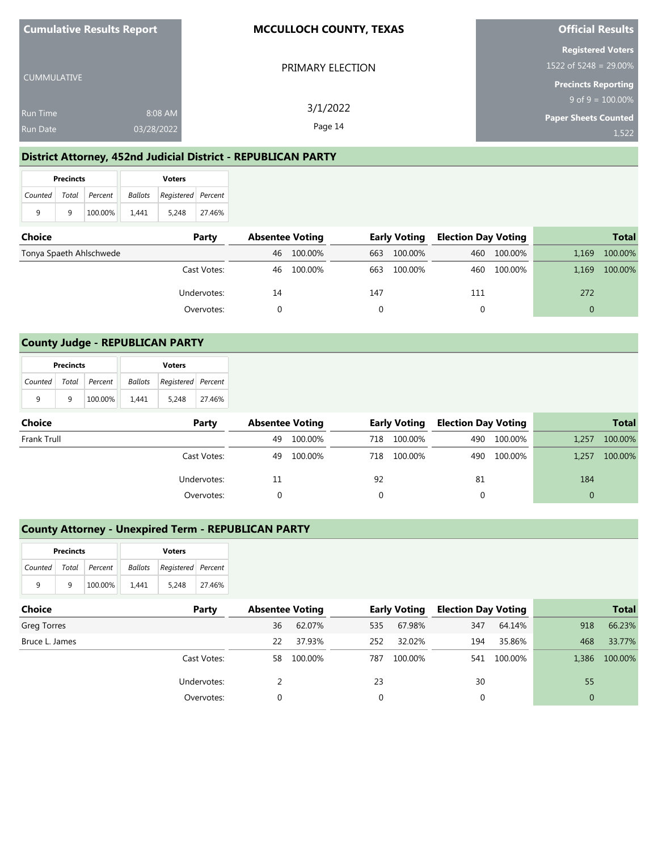| <b>Cumulative Results Report</b> |            | <b>MCCULLOCH COUNTY, TEXAS</b> | <b>Official Results</b>                           |
|----------------------------------|------------|--------------------------------|---------------------------------------------------|
|                                  |            | PRIMARY ELECTION               | <b>Registered Voters</b><br>1522 of 5248 = 29.00% |
| l CUMMULATIVE                    |            |                                | <b>Precincts Reporting</b>                        |
|                                  |            | 3/1/2022                       | $9$ of $9 = 100.00\%$                             |
| <b>Run Time</b>                  | 8:08 AM    |                                | <b>Paper Sheets Counted</b>                       |
| <b>Run Date</b>                  | 03/28/2022 | Page 14                        | 1,522                                             |

## **District Attorney, 452nd Judicial District - REPUBLICAN PARTY**

|                       | <b>Precincts</b> |         | <b>Voters</b> |                                   |        |  |  |
|-----------------------|------------------|---------|---------------|-----------------------------------|--------|--|--|
| Counted Total Percent |                  |         |               | <b>Ballots</b> Registered Percent |        |  |  |
| 9                     | q                | 100.00% | 1.441         | 5.248                             | 27.46% |  |  |

| <b>Choice</b>           | Party       | <b>Absentee Voting</b> |         | <b>Early Voting</b> |         | <b>Election Day Voting</b> |             | <b>Total</b> |         |
|-------------------------|-------------|------------------------|---------|---------------------|---------|----------------------------|-------------|--------------|---------|
| Tonya Spaeth Ahlschwede |             | 46                     | 100.00% | 663                 | 100.00% | 460                        | 100.00%     | 1,169        | 100.00% |
|                         | Cast Votes: | 46                     | 100.00% | 663                 | 100.00% |                            | 460 100.00% | 1,169        | 100.00% |
|                         | Undervotes: | 14                     |         | 147                 |         | 111                        |             | 272          |         |
|                         | Overvotes:  |                        |         |                     |         |                            |             |              |         |

### **County Judge - REPUBLICAN PARTY**

|         | <b>Precincts</b> |               | <b>Voters</b>  |                      |        |  |  |
|---------|------------------|---------------|----------------|----------------------|--------|--|--|
| Counted |                  | Total Percent | <b>Ballots</b> | Registered   Percent |        |  |  |
| 9       | q                | 100.00%       | 1.441          | 5.248                | 27.46% |  |  |

| Choice      | Party       | <b>Absentee Voting</b> |         | <b>Early Voting</b> |         | <b>Election Day Voting</b> |             | <b>Total</b> |         |
|-------------|-------------|------------------------|---------|---------------------|---------|----------------------------|-------------|--------------|---------|
| Frank Trull |             | 49                     | 100.00% | 718                 | 100.00% |                            | 490 100.00% | 1,257        | 100.00% |
|             | Cast Votes: | 49                     | 100.00% | 718                 | 100.00% |                            | 490 100.00% | 1,257        | 100.00% |
|             | Undervotes: | 11                     |         | 92                  |         | 81                         |             | 184          |         |
|             | Overvotes:  |                        |         |                     |         |                            |             | $\Omega$     |         |

## **County Attorney - Unexpired Term - REPUBLICAN PARTY**

|   | <b>Precincts</b> |                       |         | <b>Voters</b>      |        |  |  |  |
|---|------------------|-----------------------|---------|--------------------|--------|--|--|--|
|   |                  | Counted Total Percent | Ballots | Registered Percent |        |  |  |  |
| q | q                | 100.00%               | 1.441   | 5.248              | 27.46% |  |  |  |

| <b>Choice</b>  | Party       | <b>Absentee Voting</b> |         |     | <b>Early Voting</b> | <b>Election Day Voting</b> |         |                | <b>Total</b> |
|----------------|-------------|------------------------|---------|-----|---------------------|----------------------------|---------|----------------|--------------|
| Greg Torres    |             | 36                     | 62.07%  | 535 | 67.98%              | 347                        | 64.14%  | 918            | 66.23%       |
| Bruce L. James |             | 22                     | 37.93%  | 252 | 32.02%              | 194                        | 35.86%  | 468            | 33.77%       |
|                | Cast Votes: | 58.                    | 100.00% | 787 | 100.00%             | 541                        | 100.00% | 1,386          | 100.00%      |
|                | Undervotes: |                        |         | 23  |                     | 30                         |         | 55             |              |
|                | Overvotes:  | $\Omega$               |         |     |                     |                            |         | $\overline{0}$ |              |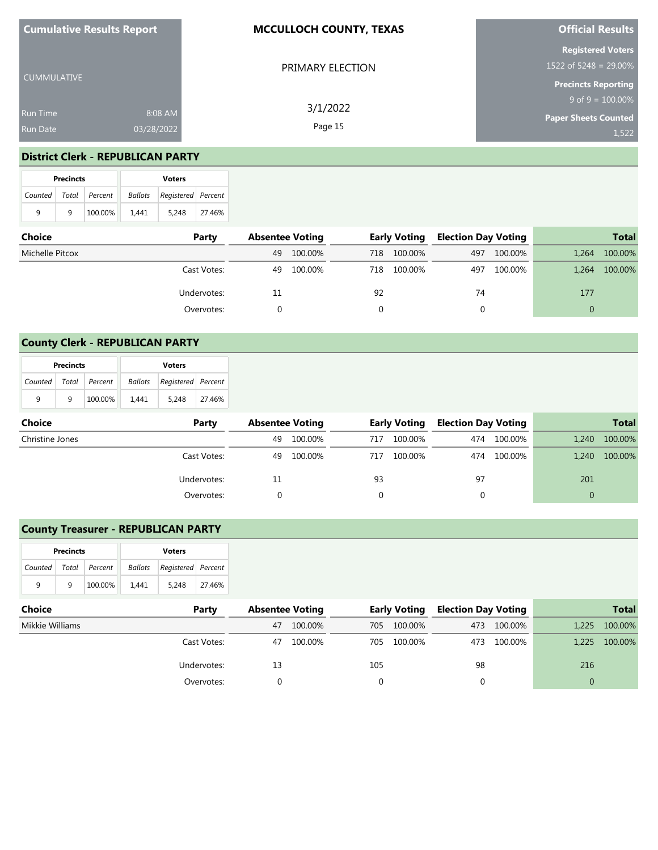| <b>Cumulative Results Report</b> |            | <b>MCCULLOCH COUNTY, TEXAS</b> | <b>Official Results</b>                             |  |  |
|----------------------------------|------------|--------------------------------|-----------------------------------------------------|--|--|
| <b>CUMMULATIVE</b>               |            | PRIMARY ELECTION               | <b>Registered Voters</b><br>$1522$ of 5248 = 29.00% |  |  |
|                                  |            |                                | <b>Precincts Reporting</b>                          |  |  |
|                                  |            | 3/1/2022                       | $9$ of $9 = 100.00\%$                               |  |  |
| <b>Run Time</b>                  | 8:08 AM    |                                | <b>Paper Sheets Counted</b>                         |  |  |
| <b>Run Date</b>                  | 03/28/2022 | Page 15                        | 1,522                                               |  |  |

### **District Clerk - REPUBLICAN PARTY**

|                           | <b>Precincts</b> |         | <b>Voters</b> |                                   |        |  |  |
|---------------------------|------------------|---------|---------------|-----------------------------------|--------|--|--|
| Counted   Total   Percent |                  |         |               | <b>Ballots</b> Registered Percent |        |  |  |
| 9                         | q                | 100.00% | 1.441         | 5.248                             | 27.46% |  |  |

| Choice          | Party       |    | <b>Absentee Voting</b> |     | <b>Early Voting</b> | <b>Election Day Voting</b> |         |       | <b>Total</b> |
|-----------------|-------------|----|------------------------|-----|---------------------|----------------------------|---------|-------|--------------|
| Michelle Pitcox |             | 49 | 100.00%                | 718 | 100.00%             | 497                        | 100.00% | 1,264 | 100.00%      |
|                 | Cast Votes: | 49 | 100.00%                | 718 | 100.00%             | 497                        | 100.00% | 1,264 | 100.00%      |
|                 | Undervotes: | 11 |                        | 92  |                     | 74                         |         | 177   |              |
|                 | Overvotes:  |    |                        |     |                     |                            |         |       |              |

## **County Clerk - REPUBLICAN PARTY**

| <b>Precincts</b> |   |               | <b>Voters</b> |                    |        |  |  |
|------------------|---|---------------|---------------|--------------------|--------|--|--|
| Counted          |   | Total Percent | Ballots       | Registered Percent |        |  |  |
| 9                | q | 100.00%       | 1.441         | 5.248              | 27.46% |  |  |

| Choice          | Party       | <b>Absentee Voting</b> |         |     | <b>Early Voting</b> | <b>Election Day Voting</b> |             |          | <b>Total</b> |
|-----------------|-------------|------------------------|---------|-----|---------------------|----------------------------|-------------|----------|--------------|
| Christine Jones |             | 49                     | 100.00% | 717 | 100.00%             |                            | 474 100.00% | 1.240    | 100.00%      |
|                 | Cast Votes: | 49                     | 100.00% | 717 | 100.00%             |                            | 474 100.00% | 1.240    | 100.00%      |
|                 | Undervotes: | 11                     |         | 93  |                     | 97                         |             | 201      |              |
|                 | Overvotes:  |                        |         |     |                     |                            |             | $\Omega$ |              |

## **County Treasurer - REPUBLICAN PARTY**

|                       | <b>Precincts</b> |         | <b>Voters</b> |                                   |        |  |  |
|-----------------------|------------------|---------|---------------|-----------------------------------|--------|--|--|
| Counted Total Percent |                  |         |               | <b>Ballots</b> Registered Percent |        |  |  |
| q                     | q                | 100.00% | 1.441         | 5.248                             | 27.46% |  |  |

| Choice          | Party       | <b>Absentee Voting</b> |         |     | <b>Early Voting</b> | <b>Election Day Voting</b> |             |       | <b>Total</b> |
|-----------------|-------------|------------------------|---------|-----|---------------------|----------------------------|-------------|-------|--------------|
| Mikkie Williams |             | 47                     | 100.00% | 705 | 100.00%             | 473                        | 100.00%     | 1.225 | 100.00%      |
|                 | Cast Votes: | 47                     | 100.00% | 705 | 100.00%             |                            | 473 100.00% | 1.225 | 100.00%      |
|                 | Undervotes: | 13                     |         | 105 |                     | 98                         |             | 216   |              |
|                 | Overvotes:  |                        |         |     |                     |                            |             | 0     |              |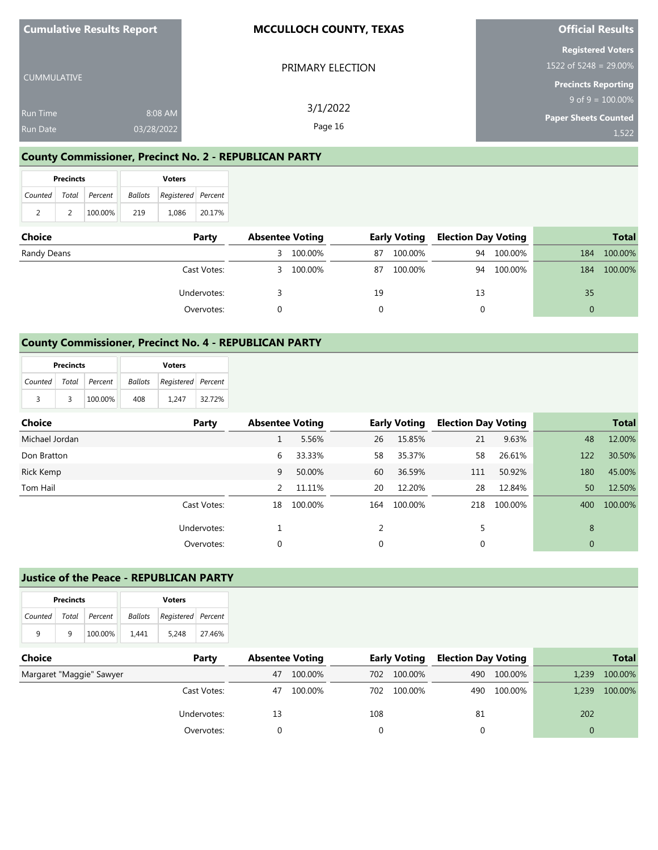| <b>Cumulative Results Report</b> |            | <b>MCCULLOCH COUNTY, TEXAS</b> | <b>Official Results</b>     |
|----------------------------------|------------|--------------------------------|-----------------------------|
|                                  |            |                                | <b>Registered Voters</b>    |
|                                  |            | PRIMARY ELECTION               | 1522 of 5248 = 29.00%       |
| <b>CUMMULATIVE</b>               |            |                                | <b>Precincts Reporting</b>  |
|                                  |            | 3/1/2022                       | $9$ of $9 = 100.00\%$       |
| <b>Run Time</b>                  | 8:08 AM    |                                | <b>Paper Sheets Counted</b> |
| <b>Run Date</b>                  | 03/28/2022 | Page 16                        | 1,522                       |

### **County Commissioner, Precinct No. 2 - REPUBLICAN PARTY**

|                       | <b>Precincts</b> |         | <b>Voters</b> |                    |        |  |
|-----------------------|------------------|---------|---------------|--------------------|--------|--|
| Counted Total Percent |                  |         | Ballots       | Registered Percent |        |  |
| 2                     |                  | 100.00% | 219           | 1.086              | 20.17% |  |

| <b>Choice</b> | Party       | <b>Absentee Voting</b> |         |    | <b>Early Voting</b> | <b>Election Day Voting</b> |            |     | <b>Total</b> |
|---------------|-------------|------------------------|---------|----|---------------------|----------------------------|------------|-----|--------------|
| Randy Deans   |             |                        | 100.00% | 87 | 100.00%             | 94                         | 100.00%    | 184 | 100.00%      |
|               | Cast Votes: | 3.                     | 100.00% | 87 | 100.00%             |                            | 94 100.00% | 184 | 100.00%      |
|               | Undervotes: |                        |         | 19 |                     | 13                         |            | 35  |              |
|               | Overvotes:  |                        |         |    |                     |                            |            |     |              |

### **County Commissioner, Precinct No. 4 - REPUBLICAN PARTY**

| <b>Precincts</b>      |   |         | <b>Voters</b> |                    |        |  |
|-----------------------|---|---------|---------------|--------------------|--------|--|
| Counted Total Percent |   |         | Ballots       | Registered Percent |        |  |
| 3                     | 3 | 100.00% | 408           | 1.247              | 32.72% |  |

| Choice         | Party       | <b>Absentee Voting</b> |         |     | <b>Early Voting</b> | <b>Election Day Voting</b> |         |              | <b>Total</b> |
|----------------|-------------|------------------------|---------|-----|---------------------|----------------------------|---------|--------------|--------------|
| Michael Jordan |             |                        | 5.56%   | 26  | 15.85%              | 21                         | 9.63%   | 48           | 12.00%       |
| Don Bratton    |             | 6                      | 33.33%  | 58  | 35.37%              | 58                         | 26.61%  | 122          | 30.50%       |
| Rick Kemp      |             | 9                      | 50.00%  | 60  | 36.59%              | 111                        | 50.92%  | 180          | 45.00%       |
| Tom Hail       |             | 2                      | 11.11%  | 20  | 12.20%              | 28                         | 12.84%  | 50           | 12.50%       |
|                | Cast Votes: | 18                     | 100.00% | 164 | 100.00%             | 218                        | 100.00% | 400          | 100.00%      |
|                | Undervotes: |                        |         |     |                     | 5                          |         | 8            |              |
|                | Overvotes:  | 0                      |         | 0   |                     | 0                          |         | $\mathbf{0}$ |              |

#### **Justice of the Peace - REPUBLICAN PARTY**

| <b>Precincts</b>      |   |         | <b>Voters</b> |                    |        |  |
|-----------------------|---|---------|---------------|--------------------|--------|--|
| Counted Total Percent |   |         | Ballots       | Registered Percent |        |  |
| q                     | q | 100.00% | 1.441         | 5.248              | 27.46% |  |

| <b>Choice</b>            | Party       | <b>Absentee Voting</b> |         |     | <b>Early Voting</b> | <b>Election Day Voting</b> |             |       | <b>Total</b> |
|--------------------------|-------------|------------------------|---------|-----|---------------------|----------------------------|-------------|-------|--------------|
| Margaret "Maggie" Sawyer |             | 47                     | 100.00% | 702 | 100.00%             |                            | 490 100.00% | 1.239 | 100.00%      |
|                          | Cast Votes: | 47                     | 100.00% | 702 | 100.00%             |                            | 490 100.00% | 1.239 | 100.00%      |
|                          | Undervotes: | 13                     |         | 108 |                     | 81                         |             | 202   |              |
|                          | Overvotes:  |                        |         |     |                     |                            |             |       |              |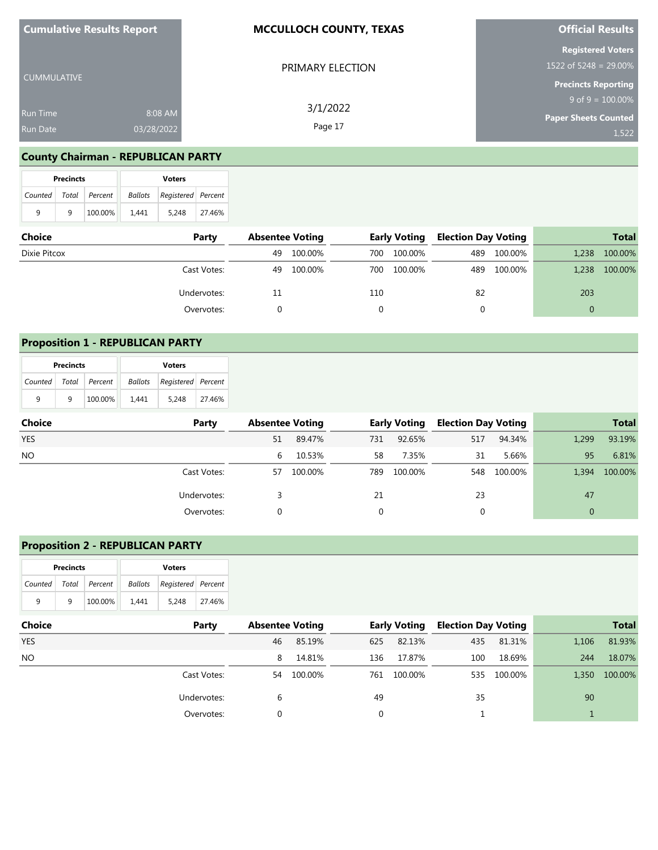| <b>Cumulative Results Report</b> |            | <b>MCCULLOCH COUNTY, TEXAS</b> | <b>Official Results</b>     |
|----------------------------------|------------|--------------------------------|-----------------------------|
|                                  |            |                                | <b>Registered Voters</b>    |
| l CUMMULATIVE                    |            | PRIMARY ELECTION               | 1522 of 5248 = 29.00%       |
|                                  |            |                                | <b>Precincts Reporting</b>  |
|                                  |            | 3/1/2022                       | $9$ of $9 = 100.00\%$       |
| <b>Run Time</b>                  | 8:08 AM    |                                | <b>Paper Sheets Counted</b> |
| <b>Run Date</b>                  | 03/28/2022 | Page 17                        | 1,522                       |

# **County Chairman - REPUBLICAN PARTY**

| <b>Precincts</b>      |   |         | <b>Voters</b> |                    |        |  |
|-----------------------|---|---------|---------------|--------------------|--------|--|
| Counted Total Percent |   |         | Ballots       | Registered Percent |        |  |
| 9                     | q | 100.00% | 1.441         | 5.248              | 27.46% |  |

| <b>Choice</b> | Party       | <b>Absentee Voting</b> |            |      | <b>Early Voting</b> | <b>Election Day Voting</b> |             |       | <b>Total</b> |
|---------------|-------------|------------------------|------------|------|---------------------|----------------------------|-------------|-------|--------------|
| Dixie Pitcox  |             | 49                     | 100.00%    | 700  | 100.00%             |                            | 489 100.00% | 1,238 | 100.00%      |
|               | Cast Votes: |                        | 49 100.00% | 700. | 100.00%             |                            | 489 100.00% | 1,238 | 100.00%      |
|               | Undervotes: | 11                     |            | 110  |                     | 82                         |             | 203   |              |
|               | Overvotes:  |                        |            |      |                     |                            |             | 0     |              |

### **Proposition 1 - REPUBLICAN PARTY**

| <b>Precincts</b>          |   |         | <b>Voters</b> |                    |        |  |
|---------------------------|---|---------|---------------|--------------------|--------|--|
| Counted   Total   Percent |   |         | Ballots       | Registered Percent |        |  |
| q                         | q | 100.00% | 1.441         | 5.248              | 27.46% |  |

| <b>Choice</b> | Party       | <b>Absentee Voting</b> |         |     | <b>Early Voting</b> | <b>Election Day Voting</b> |             |       | <b>Total</b> |
|---------------|-------------|------------------------|---------|-----|---------------------|----------------------------|-------------|-------|--------------|
| <b>YES</b>    |             | 51                     | 89.47%  | 731 | 92.65%              | 517                        | 94.34%      | 1,299 | 93.19%       |
| <b>NO</b>     |             | 6                      | 10.53%  | 58  | 7.35%               | 31                         | 5.66%       | 95    | 6.81%        |
|               | Cast Votes: | 57                     | 100.00% | 789 | 100.00%             |                            | 548 100.00% | 1,394 | 100.00%      |
|               | Undervotes: |                        |         | 21  |                     | 23                         |             | 47    |              |
|               | Overvotes:  |                        |         |     |                     | 0                          |             |       |              |

## **Proposition 2 - REPUBLICAN PARTY**

|                       | <b>Precincts</b> |         |         | <b>Voters</b>      |        |
|-----------------------|------------------|---------|---------|--------------------|--------|
| Counted Total Percent |                  |         | Ballots | Registered Percent |        |
| q                     | q                | 100.00% | 1.441   | 5.248              | 27.46% |

| <b>Choice</b> | Party       | <b>Absentee Voting</b> |         |     | <b>Early Voting</b> | <b>Election Day Voting</b> |         |       | <b>Total</b> |
|---------------|-------------|------------------------|---------|-----|---------------------|----------------------------|---------|-------|--------------|
| <b>YES</b>    |             | 46                     | 85.19%  | 625 | 82.13%              | 435                        | 81.31%  | 1,106 | 81.93%       |
| NO.           |             | 8                      | 14.81%  | 136 | 17.87%              | 100                        | 18.69%  | 244   | 18.07%       |
|               | Cast Votes: | 54                     | 100.00% | 761 | 100.00%             | 535                        | 100.00% | 1,350 | 100.00%      |
|               | Undervotes: | 6                      |         | 49  |                     | 35                         |         | 90    |              |
|               | Overvotes:  | $\Omega$               |         |     |                     |                            |         |       |              |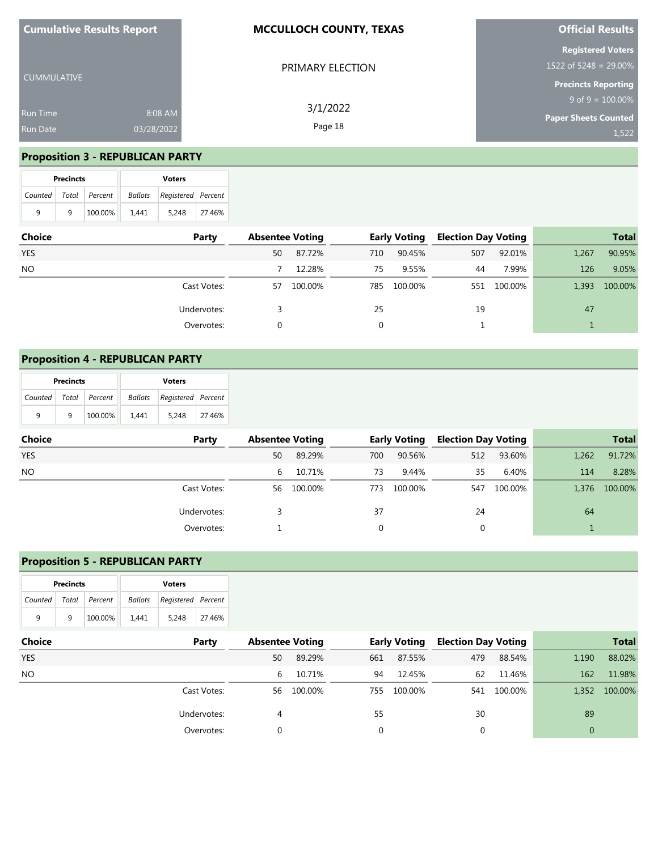| <b>Cumulative Results Report</b>   |                       | <b>MCCULLOCH COUNTY, TEXAS</b> | <b>Official Results</b>                              |
|------------------------------------|-----------------------|--------------------------------|------------------------------------------------------|
| CUMMULATIVE                        |                       | PRIMARY ELECTION               | <b>Registered Voters</b><br>1522 of 5248 = $29.00\%$ |
|                                    |                       | 3/1/2022                       | <b>Precincts Reporting</b><br>$9$ of $9 = 100.00\%$  |
| <b>Run Time</b><br><b>Run Date</b> | 8:08 AM<br>03/28/2022 | Page 18                        | <b>Paper Sheets Counted</b><br>1,522                 |

# **Proposition 3 - REPUBLICAN PARTY**

|   | <b>Precincts</b>      |         | <b>Voters</b> |                    |        |  |  |  |
|---|-----------------------|---------|---------------|--------------------|--------|--|--|--|
|   | Counted Total Percent |         | Ballots       | Registered Percent |        |  |  |  |
| 9 | q                     | 100.00% | 1.441         | 5.248              | 27.46% |  |  |  |

| <b>Choice</b> | Party       | <b>Absentee Voting</b> |         |     | <b>Early Voting</b> |     | <b>Election Day Voting</b> |       | <b>Total</b> |
|---------------|-------------|------------------------|---------|-----|---------------------|-----|----------------------------|-------|--------------|
| <b>YES</b>    |             | 50                     | 87.72%  | 710 | 90.45%              | 507 | 92.01%                     | 1,267 | 90.95%       |
| <b>NO</b>     |             |                        | 12.28%  | 75  | 9.55%               | 44  | 7.99%                      | 126   | 9.05%        |
|               | Cast Votes: | 57                     | 100.00% | 785 | 100.00%             | 551 | 100.00%                    | 1.393 | 100.00%      |
|               | Undervotes: |                        |         | 25  |                     | 19  |                            | 47    |              |
|               | Overvotes:  |                        |         | 0   |                     |     |                            |       |              |

## **Proposition 4 - REPUBLICAN PARTY**

|                           | <b>Precincts</b> |         | <b>Voters</b> |                            |        |  |  |  |
|---------------------------|------------------|---------|---------------|----------------------------|--------|--|--|--|
| Counted   Total   Percent |                  |         |               | Ballots Registered Percent |        |  |  |  |
| q                         | a                | 100.00% | 1.441         | 5.248                      | 27.46% |  |  |  |

| <b>Choice</b> | Party       | <b>Absentee Voting</b> |         |          | <b>Early Voting</b> |     | <b>Election Day Voting</b> |       | <b>Total</b> |
|---------------|-------------|------------------------|---------|----------|---------------------|-----|----------------------------|-------|--------------|
| <b>YES</b>    |             | 50                     | 89.29%  | 700      | 90.56%              | 512 | 93.60%                     | 1,262 | 91.72%       |
| NO.           |             | 6                      | 10.71%  | 73       | 9.44%               | 35  | 6.40%                      | 114   | 8.28%        |
|               | Cast Votes: | 56                     | 100.00% | 773      | 100.00%             | 547 | 100.00%                    | 1,376 | 100.00%      |
|               | Undervotes: |                        |         | 37       |                     | 24  |                            | 64    |              |
|               | Overvotes:  |                        |         | $\Omega$ |                     |     |                            |       |              |

### **Proposition 5 - REPUBLICAN PARTY**

|   | <b>Precincts</b> |                       |       | <b>Voters</b>                  |        |  |  |  |  |
|---|------------------|-----------------------|-------|--------------------------------|--------|--|--|--|--|
|   |                  | Counted Total Percent |       | Ballots   Registered   Percent |        |  |  |  |  |
| 9 | q                | 100.00%               | 1.441 | 5.248                          | 27.46% |  |  |  |  |

| <b>Choice</b> | Party       | <b>Absentee Voting</b> |            |     | <b>Early Voting</b> | <b>Election Day Voting</b> |             |          | <b>Total</b> |
|---------------|-------------|------------------------|------------|-----|---------------------|----------------------------|-------------|----------|--------------|
| <b>YES</b>    |             | 50                     | 89.29%     | 661 | 87.55%              | 479                        | 88.54%      | 1,190    | 88.02%       |
| NO.           |             | 6.                     | 10.71%     | 94  | 12.45%              | 62                         | 11.46%      | 162      | 11.98%       |
|               | Cast Votes: |                        | 56 100.00% | 755 | 100.00%             |                            | 541 100.00% | 1.352    | 100.00%      |
|               | Undervotes: | 4                      |            | 55  |                     | 30                         |             | 89       |              |
|               | Overvotes:  | $\Omega$               |            |     |                     |                            |             | $\Omega$ |              |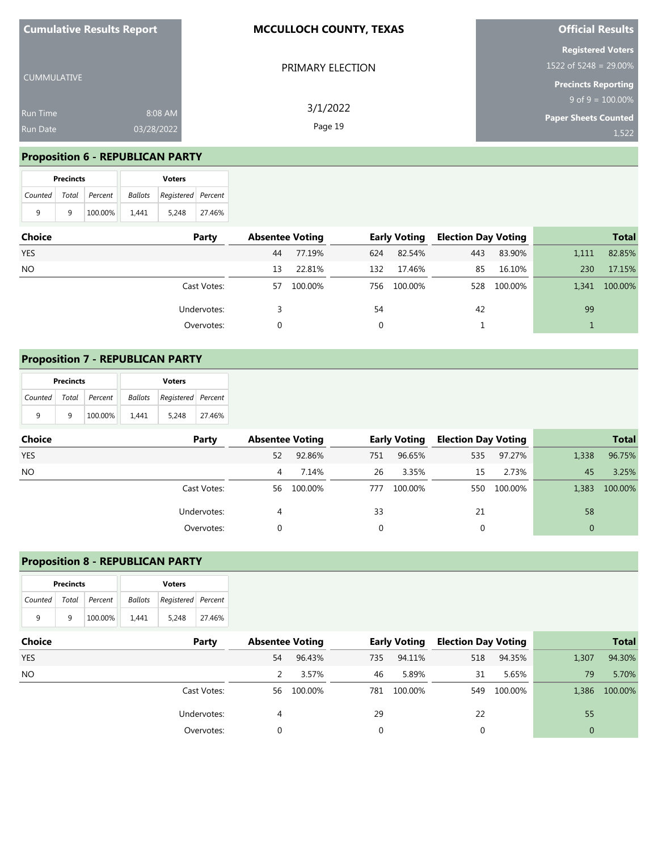| <b>Cumulative Results Report</b> |            | <b>MCCULLOCH COUNTY, TEXAS</b> | <b>Official Results</b>                              |
|----------------------------------|------------|--------------------------------|------------------------------------------------------|
| CUMMULATIVE                      |            | PRIMARY ELECTION               | <b>Registered Voters</b><br>1522 of 5248 = $29.00\%$ |
|                                  |            |                                | <b>Precincts Reporting</b>                           |
|                                  |            | 3/1/2022                       | $9$ of 9 = $\overline{100.00\%}$                     |
| <b>Run Time</b>                  | 8:08 AM    |                                | <b>Paper Sheets Counted</b>                          |
| <b>Run Date</b>                  | 03/28/2022 | Page 19                        | 1,522                                                |

# **Proposition 6 - REPUBLICAN PARTY**

|   | <b>Precincts</b>          |         | <b>Voters</b> |                    |        |  |  |  |
|---|---------------------------|---------|---------------|--------------------|--------|--|--|--|
|   | Counted   Total   Percent |         | Ballots       | Registered Percent |        |  |  |  |
| 9 | q                         | 100.00% | 1.441         | 5.248              | 27.46% |  |  |  |

| <b>Choice</b> | Party       | <b>Absentee Voting</b> |         |     | <b>Early Voting</b> |     | <b>Election Day Voting</b> |       | <b>Total</b> |
|---------------|-------------|------------------------|---------|-----|---------------------|-----|----------------------------|-------|--------------|
| <b>YES</b>    |             | 44                     | 77.19%  | 624 | 82.54%              | 443 | 83.90%                     | 1,111 | 82.85%       |
| <b>NO</b>     |             | 13                     | 22.81%  | 132 | 17.46%              | 85  | 16.10%                     | 230   | 17.15%       |
|               | Cast Votes: | 57                     | 100.00% | 756 | 100.00%             | 528 | 100.00%                    | 1,341 | 100.00%      |
|               | Undervotes: |                        |         | 54  |                     | 42  |                            | 99    |              |
|               | Overvotes:  |                        |         |     |                     |     |                            |       |              |

## **Proposition 7 - REPUBLICAN PARTY**

|                           | <b>Precincts</b> |         | <b>Voters</b> |                            |        |  |  |  |
|---------------------------|------------------|---------|---------------|----------------------------|--------|--|--|--|
| Counted   Total   Percent |                  |         |               | Ballots Registered Percent |        |  |  |  |
| q                         | a                | 100.00% | 1.441         | 5.248                      | 27.46% |  |  |  |

| <b>Choice</b> | Party       | <b>Absentee Voting</b> |         |     | <b>Early Voting</b> | <b>Election Day Voting</b> |         |          | <b>Total</b> |
|---------------|-------------|------------------------|---------|-----|---------------------|----------------------------|---------|----------|--------------|
| <b>YES</b>    |             | 52                     | 92.86%  | 751 | 96.65%              | 535                        | 97.27%  | 1,338    | 96.75%       |
| NO.           |             | 4                      | 7.14%   | 26  | 3.35%               | 15                         | 2.73%   | 45       | 3.25%        |
|               | Cast Votes: | 56                     | 100.00% | 777 | 100.00%             | 550                        | 100.00% | 1,383    | 100.00%      |
|               | Undervotes: | 4                      |         | 33  |                     | 21                         |         | 58       |              |
|               | Overvotes:  |                        |         | 0   |                     | 0                          |         | $\Omega$ |              |

### **Proposition 8 - REPUBLICAN PARTY**

|         | <b>Precincts</b> |         | <b>Voters</b> |                    |        |  |  |  |
|---------|------------------|---------|---------------|--------------------|--------|--|--|--|
| Counted | Total            | Percent | Ballots       | Registered Percent |        |  |  |  |
| q       | 9                | 100.00% | 1.441         | 5.248              | 27.46% |  |  |  |

| <b>Choice</b> | Party       | <b>Absentee Voting</b> |            | <b>Early Voting</b> |         | <b>Election Day Voting</b> |             | <b>Total</b>   |         |
|---------------|-------------|------------------------|------------|---------------------|---------|----------------------------|-------------|----------------|---------|
| <b>YES</b>    |             | 54                     | 96.43%     | 735                 | 94.11%  | 518                        | 94.35%      | 1,307          | 94.30%  |
| NO.           |             |                        | 3.57%      | 46                  | 5.89%   | 31                         | 5.65%       | 79             | 5.70%   |
|               | Cast Votes: |                        | 56 100.00% | 781                 | 100.00% |                            | 549 100.00% | 1.386          | 100.00% |
|               | Undervotes: | 4                      |            | 29                  |         | 22                         |             | 55             |         |
|               | Overvotes:  | 0                      |            |                     |         |                            |             | $\overline{0}$ |         |